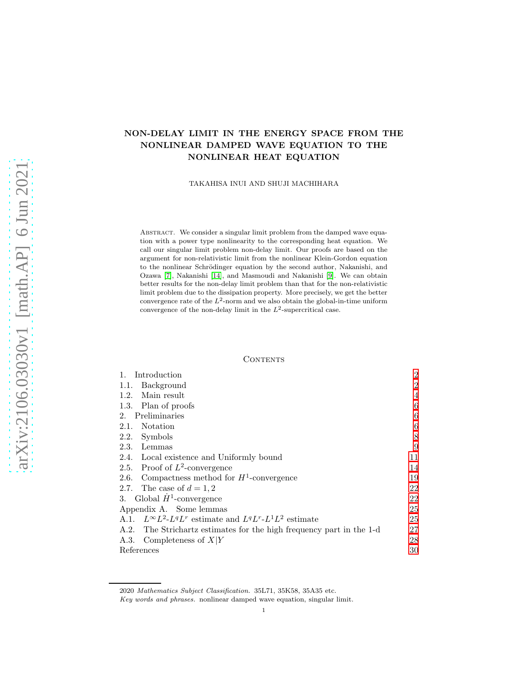# NON-DELAY LIMIT IN THE ENERGY SPACE FROM THE NONLINEAR DAMPED WAVE EQUATION TO THE NONLINEAR HEAT EQUATION

TAKAHISA INUI AND SHUJI MACHIHARA

ABSTRACT. We consider a singular limit problem from the damped wave equation with a power type nonlinearity to the corresponding heat equation. We call our singular limit problem non-delay limit. Our proofs are based on the argument for non-relativistic limit from the nonlinear Klein-Gordon equation to the nonlinear Schrödinger equation by the second author, Nakanishi, and Ozawa [\[7\]](#page-29-0), Nakanishi [\[14\]](#page-29-1), and Masmoudi and Nakanishi [\[9\]](#page-29-2). We can obtain better results for the non-delay limit problem than that for the non-relativistic limit problem due to the dissipation property. More precisely, we get the better convergence rate of the  $L^2$ -norm and we also obtain the global-in-time uniform convergence of the non-delay limit in the  $L^2$ -supercritical case.

## **CONTENTS**

| Introduction                                                              | $\overline{2}$ |
|---------------------------------------------------------------------------|----------------|
| Background<br>1.1.                                                        | $\overline{2}$ |
| Main result<br>1.2.                                                       | $\overline{4}$ |
| 1.3. Plan of proofs                                                       | 6              |
| Preliminaries<br>2.                                                       | 6              |
| Notation<br>2.1.                                                          | 6              |
| Symbols<br>2.2.                                                           | 8              |
| 2.3.<br>Lemmas                                                            | 9              |
| 2.4. Local existence and Uniformly bound                                  | 11             |
| 2.5. Proof of $L^2$ -convergence                                          | 14             |
| 2.6. Compactness method for $H^1$ -convergence                            | 19             |
| 2.7. The case of $d = 1, 2$                                               | 22             |
| 3. Global $\dot{H}^1$ -convergence                                        | 22             |
| Appendix A. Some lemmas                                                   | 25             |
| A.1. $L^{\infty}L^2$ - $L^qL^r$ estimate and $L^qL^r$ - $L^1L^2$ estimate | 25             |
| A.2. The Strichartz estimates for the high frequency part in the 1-d      | 27             |
| Completeness of $X Y$<br>A.3.                                             | 28             |
| References                                                                | 30             |

<sup>2020</sup> Mathematics Subject Classification. 35L71, 35K58, 35A35 etc.

Key words and phrases. nonlinear damped wave equation, singular limit.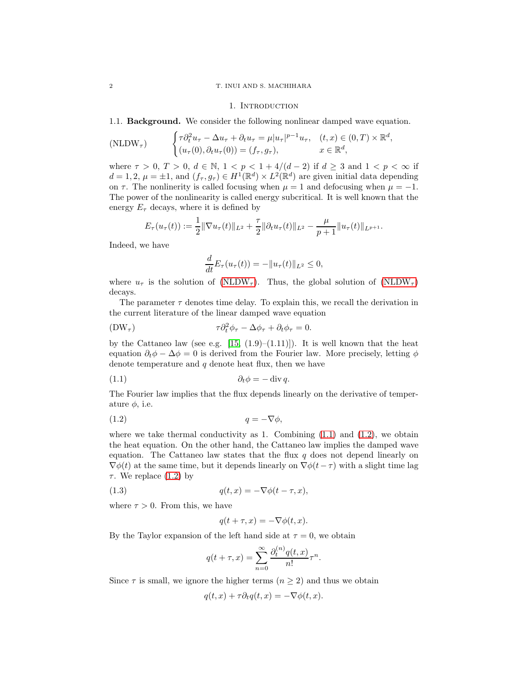### <span id="page-1-0"></span>2 T. INUI AND S. MACHIHARA

#### 1. INTRODUCTION

<span id="page-1-1"></span>1.1. Background. We consider the following nonlinear damped wave equation.

<span id="page-1-2"></span>
$$
\text{(NLDW}_{\tau}) \qquad \begin{cases} \tau \partial_t^2 u_{\tau} - \Delta u_{\tau} + \partial_t u_{\tau} = \mu |u_{\tau}|^{p-1} u_{\tau}, & (t, x) \in (0, T) \times \mathbb{R}^d, \\ (u_{\tau}(0), \partial_t u_{\tau}(0)) = (f_{\tau}, g_{\tau}), & x \in \mathbb{R}^d, \end{cases}
$$

where  $\tau > 0$ ,  $T > 0$ ,  $d \in \mathbb{N}$ ,  $1 < p < 1 + 4/(d-2)$  if  $d \geq 3$  and  $1 < p < \infty$  if  $d = 1, 2, \mu = \pm 1$ , and  $(f_{\tau}, g_{\tau}) \in H^1(\mathbb{R}^d) \times L^2(\mathbb{R}^d)$  are given initial data depending on  $\tau$ . The nonlinerity is called focusing when  $\mu = 1$  and defocusing when  $\mu = -1$ . The power of the nonlinearity is called energy subcritical. It is well known that the energy  $E_{\tau}$  decays, where it is defined by

$$
E_{\tau}(u_{\tau}(t)) := \frac{1}{2} \|\nabla u_{\tau}(t)\|_{L^{2}} + \frac{\tau}{2} \|\partial_t u_{\tau}(t)\|_{L^{2}} - \frac{\mu}{p+1} \|u_{\tau}(t)\|_{L^{p+1}}.
$$

Indeed, we have

$$
\frac{d}{dt}E_{\tau}(u_{\tau}(t)) = -||u_{\tau}(t)||_{L^2} \leq 0,
$$

where  $u_{\tau}$  is the solution of [\(NLDW](#page-1-2)<sub> $\tau$ </sub>). Thus, the global solution of (NLDW<sub> $\tau$ </sub>) decays.

The parameter  $\tau$  denotes time delay. To explain this, we recall the derivation in the current literature of the linear damped wave equation

<span id="page-1-5"></span>
$$
(\text{DW}_{\tau}) \qquad \qquad \tau \partial_t^2 \phi_\tau - \Delta \phi_\tau + \partial_t \phi_\tau = 0.
$$

by the Cattaneo law (see e.g. [\[15,](#page-29-4)  $(1.9)-(1.11)$ ]). It is well known that the heat equation  $\partial_t \phi - \Delta \phi = 0$  is derived from the Fourier law. More precisely, letting  $\phi$ denote temperature and  $q$  denote heat flux, then we have

<span id="page-1-3"></span>
$$
(1.1) \t\t\t\t\t \partial_t \phi = -\operatorname{div} q.
$$

The Fourier law implies that the flux depends linearly on the derivative of temperature  $\phi$ , i.e.

<span id="page-1-4"></span>
$$
(1.2) \t\t q = -\nabla \phi,
$$

where we take thermal conductivity as 1. Combining  $(1.1)$  and  $(1.2)$ , we obtain the heat equation. On the other hand, the Cattaneo law implies the damped wave equation. The Cattaneo law states that the flux  $q$  does not depend linearly on  $\nabla \phi(t)$  at the same time, but it depends linearly on  $\nabla \phi(t-\tau)$  with a slight time lag τ. We replace [\(1.2\)](#page-1-4) by

(1.3) 
$$
q(t,x) = -\nabla \phi(t-\tau,x),
$$

where  $\tau > 0$ . From this, we have

$$
q(t+\tau, x) = -\nabla \phi(t, x).
$$

By the Taylor expansion of the left hand side at  $\tau = 0$ , we obtain

$$
q(t+\tau,x) = \sum_{n=0}^{\infty} \frac{\partial_t^{(n)} q(t,x)}{n!} \tau^n.
$$

Since  $\tau$  is small, we ignore the higher terms  $(n \geq 2)$  and thus we obtain

$$
q(t,x) + \tau \partial_t q(t,x) = -\nabla \phi(t,x).
$$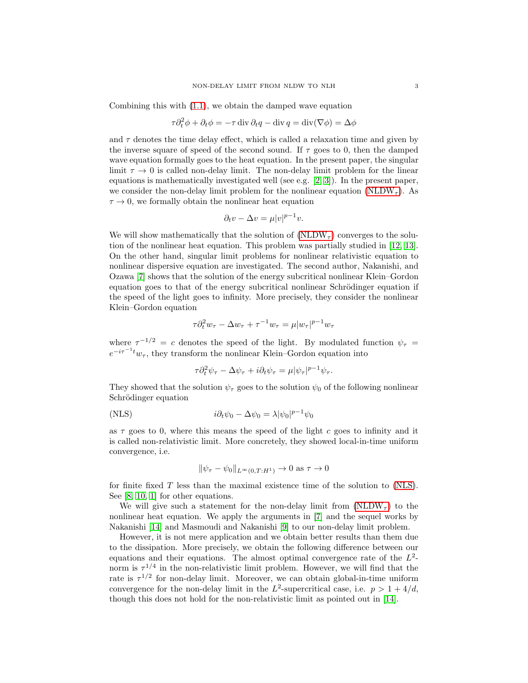Combining this with [\(1.1\)](#page-1-3), we obtain the damped wave equation

$$
\tau \partial_t^2 \phi + \partial_t \phi = -\tau \operatorname{div} \partial_t q - \operatorname{div} q = \operatorname{div} (\nabla \phi) = \Delta \phi
$$

and  $\tau$  denotes the time delay effect, which is called a relaxation time and given by the inverse square of speed of the second sound. If  $\tau$  goes to 0, then the damped wave equation formally goes to the heat equation. In the present paper, the singular limit  $\tau \to 0$  is called non-delay limit. The non-delay limit problem for the linear equations is mathematically investigated well (see e.g. [\[2,](#page-29-5) [3\]](#page-29-6)). In the present paper, we consider the non-delay limit problem for the nonlinear equation [\(NLDW](#page-1-2)<sub>T</sub>). As  $\tau \rightarrow 0,$  we formally obtain the nonlinear heat equation

$$
\partial_t v - \Delta v = \mu |v|^{p-1} v.
$$

We will show mathematically that the solution of  $(NLDW<sub>\tau</sub>)$  converges to the solution of the nonlinear heat equation. This problem was partially studied in [\[12,](#page-29-7) [13\]](#page-29-8). On the other hand, singular limit problems for nonlinear relativistic equation to nonlinear dispersive equation are investigated. The second author, Nakanishi, and Ozawa [\[7\]](#page-29-0) shows that the solution of the energy subcritical nonlinear Klein–Gordon equation goes to that of the energy subcritical nonlinear Schrödinger equation if the speed of the light goes to infinity. More precisely, they consider the nonlinear Klein–Gordon equation

$$
\tau \partial_t^2 w_\tau - \Delta w_\tau + \tau^{-1} w_\tau = \mu |w_\tau|^{p-1} w_\tau
$$

where  $\tau^{-1/2} = c$  denotes the speed of the light. By modulated function  $\psi_{\tau} =$  $e^{-i\tau^{-1}t}w_{\tau}$ , they transform the nonlinear Klein–Gordon equation into

$$
\tau \partial_t^2 \psi_\tau - \Delta \psi_\tau + i \partial_t \psi_\tau = \mu |\psi_\tau|^{p-1} \psi_\tau.
$$

They showed that the solution  $\psi_{\tau}$  goes to the solution  $\psi_0$  of the following nonlinear Schrödinger equation

<span id="page-2-0"></span>(NLS) 
$$
i\partial_t \psi_0 - \Delta \psi_0 = \lambda |\psi_0|^{p-1} \psi_0
$$

as  $\tau$  goes to 0, where this means the speed of the light c goes to infinity and it is called non-relativistic limit. More concretely, they showed local-in-time uniform convergence, i.e.

$$
\|\psi_\tau - \psi_0\|_{L^\infty(0,T:H^1)} \to 0 \text{ as } \tau \to 0
$$

for finite fixed T less than the maximal existence time of the solution to [\(NLS\)](#page-2-0). See [\[8,](#page-29-9) [10,](#page-29-10) [1\]](#page-29-11) for other equations.

We will give such a statement for the non-delay limit from  $(NLDW<sub>\tau</sub>)$  to the nonlinear heat equation. We apply the arguments in [\[7\]](#page-29-0) and the sequel works by Nakanishi [\[14\]](#page-29-1) and Masmoudi and Nakanishi [\[9\]](#page-29-2) to our non-delay limit problem.

However, it is not mere application and we obtain better results than them due to the dissipation. More precisely, we obtain the following difference between our equations and their equations. The almost optimal convergence rate of the  $L^2$ norm is  $\tau^{1/4}$  in the non-relativistic limit problem. However, we will find that the rate is  $\tau^{1/2}$  for non-delay limit. Moreover, we can obtain global-in-time uniform convergence for the non-delay limit in the  $L^2$ -supercritical case, i.e.  $p > 1 + 4/d$ , though this does not hold for the non-relativistic limit as pointed out in [\[14\]](#page-29-1).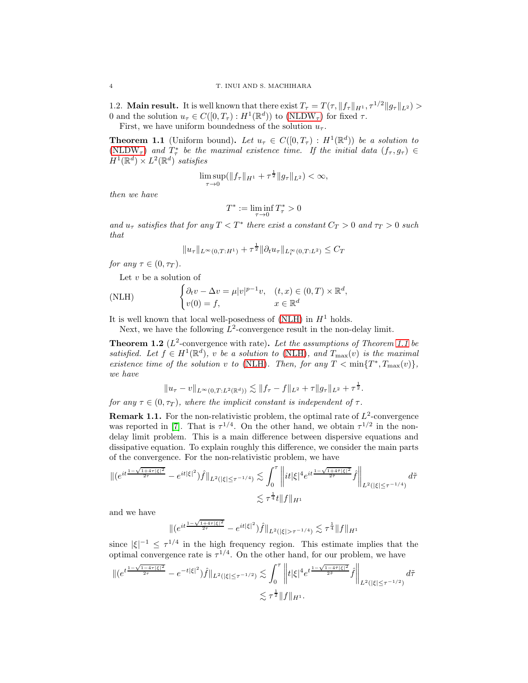1.2. **Main result.** It is well known that there exist  $T_{\tau} = T(\tau, \|f_{\tau}\|_{H^1}, \tau^{1/2} \|g_{\tau}\|_{L^2}) >$ 0 and the solution  $u_{\tau} \in C([0, T_{\tau}) : H^1(\mathbb{R}^d))$  to  $(NLDW_{\tau})$  for fixed  $\tau$ .

First, we have uniform boundedness of the solution  $u_{\tau}$ .

<span id="page-3-2"></span>**Theorem 1.1** (Uniform bound). Let  $u_{\tau} \in C([0,T_{\tau}]: H^1(\mathbb{R}^d))$  be a solution to [\(NLDW](#page-1-2)<sub>T</sub>) and  $T^*_{\tau}$  be the maximal existence time. If the initial data  $(f_{\tau}, g_{\tau}) \in$  $H^1(\mathbb{R}^d) \times L^2(\mathbb{R}^d)$  satisfies

$$
\limsup_{\tau \to 0} (\|f_{\tau}\|_{H^1} + \tau^{\frac{1}{2}} \|g_{\tau}\|_{L^2}) < \infty,
$$

then we have

$$
T^* := \liminf_{\tau \to 0} T^*_{\tau} > 0
$$

and  $u_{\tau}$  satisfies that for any  $T < T^*$  there exist a constant  $C_T > 0$  and  $\tau_T > 0$  such that

$$
||u_{\tau}||_{L^{\infty}(0,T:H^{1})} + \tau^{\frac{1}{2}} ||\partial_{t}u_{\tau}||_{L^{\infty}_{t}(0,T:L^{2})} \leq C_{T}
$$

for any  $\tau \in (0, \tau_T)$ .

Let  $v$  be a solution of

<span id="page-3-1"></span>(NLH) 
$$
\begin{cases} \partial_t v - \Delta v = \mu |v|^{p-1}v, & (t, x) \in (0, T) \times \mathbb{R}^d, \\ v(0) = f, & x \in \mathbb{R}^d \end{cases}
$$

It is well known that local well-posedness of [\(NLH\)](#page-3-1) in  $H<sup>1</sup>$  holds.

Next, we have the following  $L^2$ -convergence result in the non-delay limit.

<span id="page-3-3"></span>**Theorem 1.2** ( $L^2$ -convergence with rate). Let the assumptions of Theorem [1.1](#page-3-2) be satisfied. Let  $f \in H^1(\mathbb{R}^d)$ , v be a solution to [\(NLH\)](#page-3-1), and  $T_{\max}(v)$  is the maximal existence time of the solution v to [\(NLH\)](#page-3-1). Then, for any  $T < \min\{T^*, T_{\max}(v)\},$ we have

$$
||u_{\tau} - v||_{L^{\infty}(0,T;L^{2}(\mathbb{R}^{d}))} \lesssim ||f_{\tau} - f||_{L^{2}} + \tau ||g_{\tau}||_{L^{2}} + \tau^{\frac{1}{2}}.
$$

for any  $\tau \in (0, \tau_T)$ , where the implicit constant is independent of  $\tau$ .

**Remark 1.1.** For the non-relativistic problem, the optimal rate of  $L^2$ -convergence was reported in [\[7\]](#page-29-0). That is  $\tau^{1/4}$ . On the other hand, we obtain  $\tau^{1/2}$  in the nondelay limit problem. This is a main difference between dispersive equations and dissipative equation. To explain roughly this difference, we consider the main parts of the convergence. For the non-relativistic problem, we have

$$
\begin{aligned} \|(e^{it\frac{1-\sqrt{1+4\tau|\xi|^2}}{2\tau}}-e^{it|\xi|^2})\widehat{f}\|_{L^2(|\xi|\leq \tau^{-1/4})} &\lesssim \int_0^\tau \bigg\|it|\xi|^4e^{it\frac{1-\sqrt{1+4\tau|\xi|^2}}{2\tilde{\tau}}}\widehat{f}\bigg\|_{L^2(|\xi|\leq \tau^{-1/4})}d\tilde{\tau} \\ &\lesssim \tau^\frac{1}{4}t\|f\|_{H^1} \end{aligned}
$$

and we have

$$
\|(e^{it\frac{1-\sqrt{1+4\tau|\xi|^2}}{2\tau}}-e^{it|\xi|^2})\widehat{f}\|_{L^2(|\xi|>\tau^{-1/4})}\lesssim \tau^{\frac{1}{4}}\|f\|_{H^1}
$$

since  $|\xi|^{-1} \leq \tau^{1/4}$  in the high frequency region. This estimate implies that the optimal convergence rate is  $\tau^{1/4}$ . On the other hand, for our problem, we have

$$
\begin{split} \|(e^{t\frac{1-\sqrt{1-4\tau|\xi|^2}}{2\tau}}-e^{-t|\xi|^2})\widehat{f}\|_{L^2(|\xi|\leq \tau^{-1/2})} &\lesssim \int_0^\tau \bigg\|t|\xi|^4e^{t\frac{1-\sqrt{1-4\tilde{\tau}|\xi|^2}}{2\tilde{\tau}}}\widehat{f}\bigg\|_{L^2(|\xi|\leq \tau^{-1/2})}d\tilde{\tau} \\ &\lesssim \tau^\frac{1}{2}\|f\|_{H^1}. \end{split}
$$

<span id="page-3-0"></span>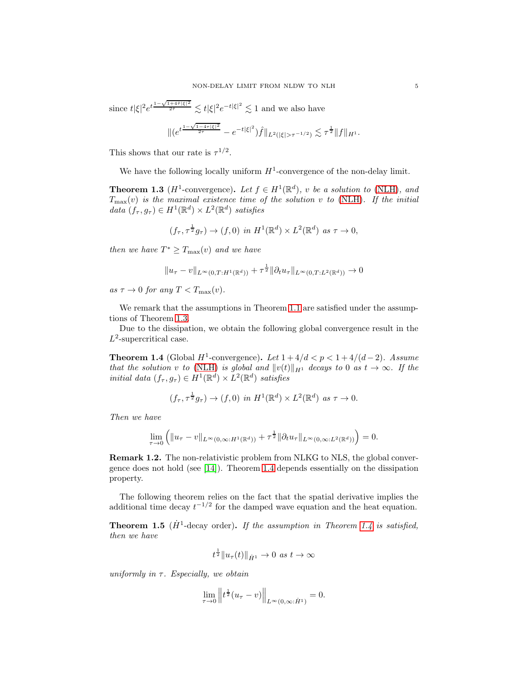since  $t|\xi|^2e^t$ 1− √  $\frac{1+4\tilde{\tau}|\xi|^2}{2\tilde{\tau}} \lesssim t|\xi|^2 e^{-t|\xi|^2} \lesssim 1$  and we also have √

$$
\|(e^{t\frac{1-\sqrt{1-4\tau|\xi|^2}}{2\tau}}-e^{-t|\xi|^2})\widehat{f}\|_{L^2(|\xi|>\tau^{-1/2})}\lesssim \tau^{\frac{1}{2}}\|f\|_{H^1}.
$$

This shows that our rate is  $\tau^{1/2}$ .

We have the following locally uniform  $H^1$ -convergence of the non-delay limit.

<span id="page-4-0"></span>**Theorem 1.3** ( $H^1$ -convergence). Let  $f \in H^1(\mathbb{R}^d)$ , v be a solution to [\(NLH\)](#page-3-1), and  $T_{\text{max}}(v)$  is the maximal existence time of the solution v to [\(NLH\)](#page-3-1). If the initial data  $(f_{\tau}, g_{\tau}) \in H^1(\mathbb{R}^d) \times L^2(\mathbb{R}^d)$  satisfies

$$
(f_{\tau}, \tau^{\frac{1}{2}}g_{\tau}) \to (f, 0) \text{ in } H^1(\mathbb{R}^d) \times L^2(\mathbb{R}^d) \text{ as } \tau \to 0,
$$

then we have  $T^* \geq T_{\text{max}}(v)$  and we have

$$
||u_{\tau} - v||_{L^{\infty}(0,T:H^1(\mathbb{R}^d))} + \tau^{\frac{1}{2}} ||\partial_t u_{\tau}||_{L^{\infty}(0,T:L^2(\mathbb{R}^d))} \to 0
$$

as  $\tau \to 0$  for any  $T < T_{\text{max}}(v)$ .

We remark that the assumptions in Theorem [1.1](#page-3-2) are satisfied under the assumptions of Theorem [1.3.](#page-4-0)

Due to the dissipation, we obtain the following global convergence result in the  $L^2$ -supercritical case.

<span id="page-4-1"></span>**Theorem 1.4** (Global  $H^1$ -convergence). Let  $1+4/d < p < 1+4/(d-2)$ . Assume that the solution v to [\(NLH\)](#page-3-1) is global and  $||v(t)||_{H_1}$  decays to 0 as  $t \to \infty$ . If the initial data  $(f_\tau, g_\tau) \in \dot{H}^1(\mathbb{R}^d) \times L^2(\mathbb{R}^d)$  satisfies

$$
(f_{\tau}, \tau^{\frac{1}{2}}g_{\tau}) \to (f, 0) \text{ in } H^1(\mathbb{R}^d) \times L^2(\mathbb{R}^d) \text{ as } \tau \to 0.
$$

Then we have

$$
\lim_{\tau \to 0} \left( \|u_{\tau} - v\|_{L^{\infty}(0,\infty;H^1(\mathbb{R}^d))} + \tau^{\frac{1}{2}} \|\partial_t u_{\tau}\|_{L^{\infty}(0,\infty;L^2(\mathbb{R}^d))} \right) = 0.
$$

Remark 1.2. The non-relativistic problem from NLKG to NLS, the global convergence does not hold (see [\[14\]](#page-29-1)). Theorem [1.4](#page-4-1) depends essentially on the dissipation property.

The following theorem relies on the fact that the spatial derivative implies the additional time decay  $t^{-1/2}$  for the damped wave equation and the heat equation.

<span id="page-4-2"></span>**Theorem 1.5** ( $\dot{H}^1$ -decay order). If the assumption in Theorem [1.4](#page-4-1) is satisfied, then we have

$$
t^{\frac{1}{2}} \|u_{\tau}(t)\|_{\dot{H}^1} \to 0 \text{ as } t \to \infty
$$

uniformly in  $\tau$ . Especially, we obtain

$$
\lim_{\tau \to 0} ||t^{\frac{1}{2}}(u_{\tau} - v)||_{L^{\infty}(0, \infty : \dot{H}^{1})} = 0.
$$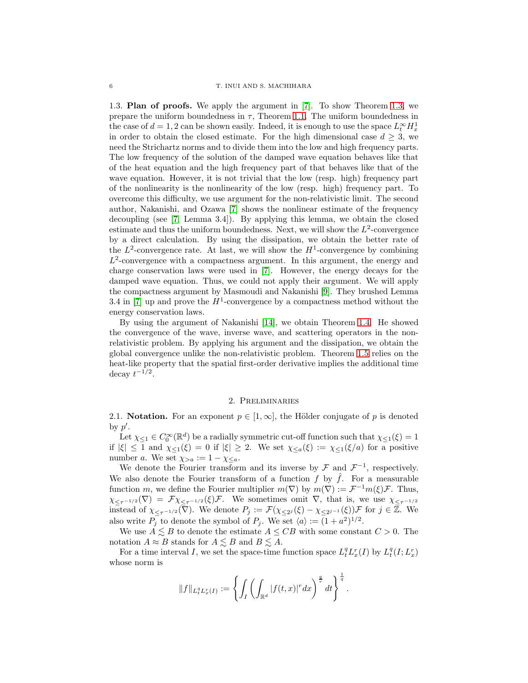<span id="page-5-0"></span>1.3. Plan of proofs. We apply the argument in [\[7\]](#page-29-0). To show Theorem [1.3,](#page-4-0) we prepare the uniform boundedness in  $\tau$ , Theorem [1.1.](#page-3-2) The uniform boundedness in the case of  $d = 1, 2$  can be shown easily. Indeed, it is enough to use the space  $L_t^{\infty} H_x^1$ in order to obtain the closed estimate. For the high dimensional case  $d \geq 3$ , we need the Strichartz norms and to divide them into the low and high frequency parts. The low frequency of the solution of the damped wave equation behaves like that of the heat equation and the high frequency part of that behaves like that of the wave equation. However, it is not trivial that the low (resp. high) frequency part of the nonlinearity is the nonlinearity of the low (resp. high) frequency part. To overcome this difficulty, we use argument for the non-relativistic limit. The second author, Nakanishi, and Ozawa [\[7\]](#page-29-0) shows the nonlinear estimate of the frequency decoupling (see [\[7,](#page-29-0) Lemma 3.4]). By applying this lemma, we obtain the closed estimate and thus the uniform boundedness. Next, we will show the  $L^2$ -convergence by a direct calculation. By using the dissipation, we obtain the better rate of the  $L^2$ -convergence rate. At last, we will show the  $H^1$ -convergence by combining  $L^2$ -convergence with a compactness argument. In this argument, the energy and charge conservation laws were used in [\[7\]](#page-29-0). However, the energy decays for the damped wave equation. Thus, we could not apply their argument. We will apply the compactness argument by Masmoudi and Nakanishi [\[9\]](#page-29-2). They brushed Lemma 3.4 in [\[7\]](#page-29-0) up and prove the  $H^1$ -convergence by a compactness method without the energy conservation laws.

By using the argument of Nakanishi [\[14\]](#page-29-1), we obtain Theorem [1.4.](#page-4-1) He showed the convergence of the wave, inverse wave, and scattering operators in the nonrelativistic problem. By applying his argument and the dissipation, we obtain the global convergence unlike the non-relativistic problem. Theorem [1.5](#page-4-2) relies on the heat-like property that the spatial first-order derivative implies the additional time decay  $t^{-1/2}$ .

## 2. Preliminaries

<span id="page-5-2"></span><span id="page-5-1"></span>2.1. Notation. For an exponent  $p \in [1,\infty]$ , the Hölder conjugate of p is denoted by  $p'$ .

Let  $\chi_{\leq 1} \in C_0^{\infty}(\mathbb{R}^d)$  be a radially symmetric cut-off function such that  $\chi_{\leq 1}(\xi) = 1$ if  $|\xi| \leq 1$  and  $\chi_{\leq 1}(\xi) = 0$  if  $|\xi| \geq 2$ . We set  $\chi_{\leq a}(\xi) := \chi_{\leq 1}(\xi/a)$  for a positive number a. We set  $\chi_{>a} := 1 - \chi_{\leq a}$ .

We denote the Fourier transform and its inverse by  $\mathcal F$  and  $\mathcal F^{-1}$ , respectively. We also denote the Fourier transform of a function f by  $\hat{f}$ . For a measurable function m, we define the Fourier multiplier  $m(\nabla)$  by  $m(\nabla) := \mathcal{F}^{-1}m(\xi)\mathcal{F}$ . Thus,  $\chi_{\leq \tau^{-1/2}}(\nabla) = \mathcal{F}\chi_{\leq \tau^{-1/2}}(\xi)\mathcal{F}$ . We sometimes omit  $\nabla$ , that is, we use  $\chi_{\leq \tau^{-1/2}}$ instead of  $\chi_{\leq \tau^{-1/2}}(\overline{\nabla})$ . We denote  $P_j := \mathcal{F}(\chi_{\leq 2^j}(\xi) - \chi_{\leq 2^{j-1}}(\xi)) \mathcal{F}$  for  $j \in \overline{\mathbb{Z}}$ . We also write  $P_j$  to denote the symbol of  $P_j$ . We set  $\langle a \rangle := (1 + a^2)^{1/2}$ .

We use  $A \leq B$  to denote the estimate  $A \leq CB$  with some constant  $C > 0$ . The notation  $A \approx B$  stands for  $A \lesssim B$  and  $B \lesssim A$ .

For a time interval I, we set the space-time function space  $L_t^q L_x^r(I)$  by  $L_t^q(I; L_x^r)$ whose norm is

$$
||f||_{L_t^q L_x^r(I)} := \left\{ \int_I \left( \int_{\mathbb{R}^d} |f(t,x)|^r dx \right)^{\frac{q}{r}} dt \right\}^{\frac{1}{q}}.
$$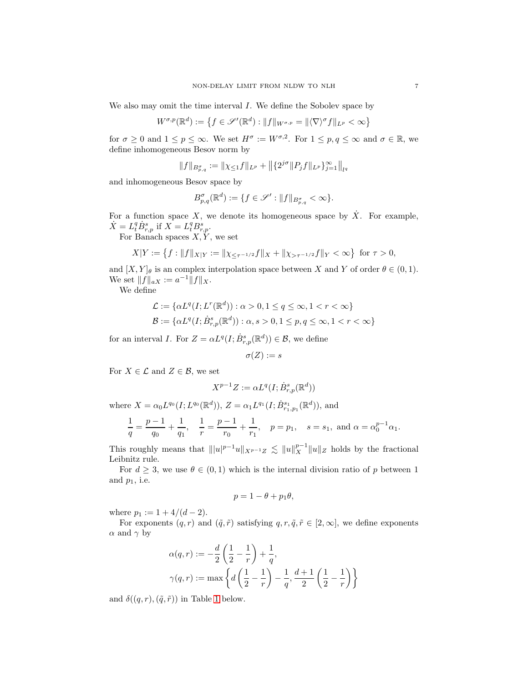We also may omit the time interval  $I$ . We define the Sobolev space by

$$
W^{\sigma,p}(\mathbb{R}^d) := \left\{ f \in \mathscr{S}'(\mathbb{R}^d) : \|f\|_{W^{\sigma,p}} = \|\langle \nabla \rangle^{\sigma} f\|_{L^p} < \infty \right\}
$$

for  $\sigma \geq 0$  and  $1 \leq p \leq \infty$ . We set  $H^{\sigma} := W^{\sigma,2}$ . For  $1 \leq p, q \leq \infty$  and  $\sigma \in \mathbb{R}$ , we define inhomogeneous Besov norm by

$$
\|f\|_{B^{\sigma}_{p,q}}:=\|\chi_{\leq 1}f\|_{L^p}+\big\|\{2^{j\sigma}\|P_jf\|_{L^p}\}_{j=1}^{\infty}\big\|_{l^q}
$$

and inhomogeneous Besov space by

$$
B_{p,q}^{\sigma}(\mathbb{R}^d) := \{ f \in \mathscr{S}' : ||f||_{B_{p,q}^{\sigma}} < \infty \}.
$$

For a function space X, we denote its homogeneous space by  $\dot{X}$ . For example,  $\dot{X} = L_t^q \dot{B}_{r,p}^s$  if  $X = L_t^q B_{r,p}^s$ .

For Banach spaces  $X, Y$ , we set

$$
X|Y := \left\{ f : \|f\|_{X|Y} := \|\chi_{\leq \tau^{-1/2}} f\|_X + \|\chi_{> \tau^{-1/2}} f\|_Y < \infty \right\} \text{ for } \tau > 0,
$$

and  $[X, Y]_\theta$  is an complex interpolation space between X and Y of order  $\theta \in (0, 1)$ . We set  $||f||_{aX} := a^{-1}||f||_{X}.$ 

We define

$$
\begin{aligned} \mathcal{L} &:= \{\alpha L^q(I;L^r(\mathbb{R}^d)): \alpha>0, 1\leq q\leq \infty, 1< r<\infty\} \\ \mathcal{B} &:= \{\alpha L^q(I;\dot{B}_{r,p}^s(\mathbb{R}^d)): \alpha,s>0, 1\leq p,q\leq \infty, 1< r<\infty\} \end{aligned}
$$

for an interval I. For  $Z = \alpha L^{q}(I; \dot{B}^{s}_{r,p}(\mathbb{R}^{d})) \in \mathcal{B}$ , we define

$$
\sigma(Z):=s
$$

For  $X \in \mathcal{L}$  and  $Z \in \mathcal{B}$ , we set

$$
X^{p-1}Z := \alpha L^q(I; \dot{B}^s_{r,p}(\mathbb{R}^d))
$$

where  $X = \alpha_0 L^{q_0}(I; L^{q_0}(\mathbb{R}^d)), Z = \alpha_1 L^{q_1}(I; \dot{B}^{s_1}_{r_1, p_1}(\mathbb{R}^d)),$  and

$$
\frac{1}{q} = \frac{p-1}{q_0} + \frac{1}{q_1}, \quad \frac{1}{r} = \frac{p-1}{r_0} + \frac{1}{r_1}, \quad p = p_1, \quad s = s_1, \text{ and } \alpha = \alpha_0^{p-1} \alpha_1.
$$

This roughly means that  $|||u|^{p-1}u||_{X^{p-1}Z} \le ||u||_X^{p-1}||u||_Z$  holds by the fractional Leibnitz rule.

For  $d \geq 3$ , we use  $\theta \in (0,1)$  which is the internal division ratio of p between 1 and  $p_1$ , i.e.

$$
p=1-\theta+p_1\theta,
$$

where  $p_1 := 1 + 4/(d - 2)$ .

For exponents  $(q, r)$  and  $(\tilde{q}, \tilde{r})$  satisfying  $q, r, \tilde{q}, \tilde{r} \in [2, \infty]$ , we define exponents  $\alpha$  and  $\gamma$  by

$$
\alpha(q,r) := -\frac{d}{2} \left( \frac{1}{2} - \frac{1}{r} \right) + \frac{1}{q},
$$
  

$$
\gamma(q,r) := \max \left\{ d \left( \frac{1}{2} - \frac{1}{r} \right) - \frac{1}{q}, \frac{d+1}{2} \left( \frac{1}{2} - \frac{1}{r} \right) \right\}
$$

and  $\delta((q, r), (\tilde{q}, \tilde{r}))$  in Table [1](#page-9-0) below.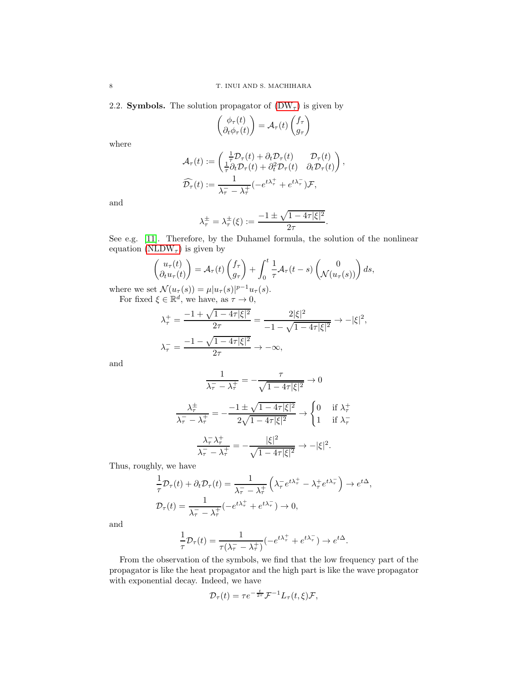<span id="page-7-0"></span>2.2. Symbols. The solution propagator of  $(DW_\tau)$  is given by

$$
\begin{pmatrix} \phi_{\tau}(t) \\ \partial_t \phi_{\tau}(t) \end{pmatrix} = \mathcal{A}_{\tau}(t) \begin{pmatrix} f_{\tau} \\ g_{\tau} \end{pmatrix}
$$

where

$$
\mathcal{A}_{\tau}(t) := \begin{pmatrix} \frac{1}{\tau} \mathcal{D}_{\tau}(t) + \partial_{t} \mathcal{D}_{\tau}(t) & \mathcal{D}_{\tau}(t) \\ \frac{1}{\tau} \partial_{t} \mathcal{D}_{\tau}(t) + \partial_{t}^{2} \mathcal{D}_{\tau}(t) & \partial_{t} \mathcal{D}_{\tau}(t) \end{pmatrix},
$$

$$
\widehat{\mathcal{D}_{\tau}}(t) := \frac{1}{\lambda_{\tau}^{-} - \lambda_{\tau}^{+}} (-e^{t\lambda_{\tau}^{+}} + e^{t\lambda_{\tau}^{-}}) \mathcal{F},
$$

and

$$
\lambda_{\tau}^{\pm} = \lambda_{\tau}^{\pm}(\xi) := \frac{-1 \pm \sqrt{1 - 4\tau |\xi|^2}}{2\tau}.
$$

See e.g. [\[11\]](#page-29-12). Therefore, by the Duhamel formula, the solution of the nonlinear equation [\(NLDW](#page-1-2)<sub> $\tau$ </sub>) is given by

$$
\begin{pmatrix} u_{\tau}(t) \\ \partial_t u_{\tau}(t) \end{pmatrix} = \mathcal{A}_{\tau}(t) \begin{pmatrix} f_{\tau} \\ g_{\tau} \end{pmatrix} + \int_0^t \frac{1}{\tau} \mathcal{A}_{\tau}(t-s) \begin{pmatrix} 0 \\ \mathcal{N}(u_{\tau}(s)) \end{pmatrix} ds,
$$

where we set  $\mathcal{N}(u_{\tau}(s)) = \mu |u_{\tau}(s)|^{p-1} u_{\tau}(s)$ . For fixed  $\xi \in \mathbb{R}^d$ , we have, as  $\tau \to 0$ ,

$$
\begin{aligned} \lambda_{\tau}^{+} &= \frac{-1+\sqrt{1-4\tau|\xi|^{2}}}{2\tau} = \frac{2|\xi|^{2}}{-1-\sqrt{1-4\tau|\xi|^{2}}} \to -|\xi|^{2},\\ \lambda_{\tau}^{-} &= \frac{-1-\sqrt{1-4\tau|\xi|^{2}}}{2\tau} \to -\infty, \end{aligned}
$$

and

$$
\frac{1}{\lambda_{\tau} - \lambda_{\tau}^{\pm}} = -\frac{\tau}{\sqrt{1 - 4\tau |\xi|^2}} \to 0
$$

$$
\frac{\lambda_{\tau}^{\pm}}{\lambda_{\tau} - \lambda_{\tau}^{\pm}} = -\frac{-1 \pm \sqrt{1 - 4\tau |\xi|^2}}{2\sqrt{1 - 4\tau |\xi|^2}} \to \begin{cases} 0 & \text{if } \lambda \\ 1 & \text{if } \lambda \end{cases}
$$

 $^+_\tau$ 

− τ

$$
\frac{\lambda_{\tau}^{-} \lambda_{\tau}^{+}}{\lambda_{\tau}^{-} - \lambda_{\tau}^{+}} = -\frac{|\xi|^{2}}{\sqrt{1 - 4\tau |\xi|^{2}}} \to -|\xi|^{2}.
$$

Thus, roughly, we have

$$
\frac{1}{\tau}\mathcal{D}_{\tau}(t) + \partial_t \mathcal{D}_{\tau}(t) = \frac{1}{\lambda_{\tau} - \lambda_{\tau}^{+}} \left( \lambda_{\tau}^{-} e^{t\lambda_{\tau}^{+}} - \lambda_{\tau}^{+} e^{t\lambda_{\tau}^{-}} \right) \to e^{t\Delta},
$$
\n
$$
\mathcal{D}_{\tau}(t) = \frac{1}{\lambda_{\tau}^{-} - \lambda_{\tau}^{+}} \left( -e^{t\lambda_{\tau}^{+}} + e^{t\lambda_{\tau}^{-}} \right) \to 0,
$$

and

$$
\frac{1}{\tau}\mathcal{D}_{\tau}(t) = \frac{1}{\tau(\lambda_{\tau} - \lambda_{\tau}^{+})}(-e^{t\lambda_{\tau}^{+}} + e^{t\lambda_{\tau}^{-}}) \to e^{t\Delta}.
$$

From the observation of the symbols, we find that the low frequency part of the propagator is like the heat propagator and the high part is like the wave propagator with exponential decay. Indeed, we have

$$
\mathcal{D}_{\tau}(t) = \tau e^{-\frac{t}{2\tau}} \mathcal{F}^{-1} L_{\tau}(t,\xi) \mathcal{F},
$$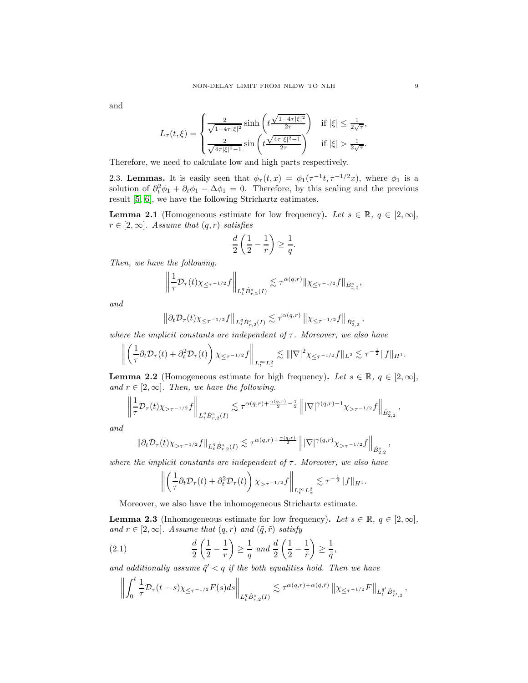and

$$
L_{\tau}(t,\xi) = \begin{cases} \frac{2}{\sqrt{1-4\tau|\xi|^2}} \sinh\left(t\frac{\sqrt{1-4\tau|\xi|^2}}{2\tau}\right) & \text{if } |\xi| \le \frac{1}{2\sqrt{\tau}},\\ \frac{2}{\sqrt{4\tau|\xi|^2-1}} \sin\left(t\frac{\sqrt{4\tau|\xi|^2-1}}{2\tau}\right) & \text{if } |\xi| > \frac{1}{2\sqrt{\tau}}. \end{cases}
$$

<span id="page-8-0"></span>Therefore, we need to calculate low and high parts respectively.

2.3. Lemmas. It is easily seen that  $\phi_{\tau}(t,x) = \phi_1(\tau^{-1}t, \tau^{-1/2}x)$ , where  $\phi_1$  is a solution of  $\partial_t^2 \phi_1 + \partial_t \phi_1 - \Delta \phi_1 = 0$ . Therefore, by this scaling and the previous result [\[5,](#page-29-13) [6\]](#page-29-14), we have the following Strichartz eatimates.

**Lemma 2.1** (Homogeneous estimate for low frequency). Let  $s \in \mathbb{R}$ ,  $q \in [2,\infty]$ ,  $r \in [2,\infty]$ . Assume that  $(q,r)$  satisfies

$$
\frac{d}{2}\left(\frac{1}{2}-\frac{1}{r}\right) \ge \frac{1}{q}.
$$

Then, we have the following.

$$
\left\|\frac{1}{\tau}\mathcal{D}_\tau(t)\chi_{\leq \tau^{-1/2}}f\right\|_{L^q_t\dot{B}_{r,2}^s(I)}\lesssim \tau^{\alpha(q,r)}\|\chi_{\leq \tau^{-1/2}}f\|_{\dot{B}_{2,2}^s},
$$

and

$$
\left\|\partial_t \mathcal{D}_\tau(t)\chi_{\leq \tau^{-1/2}}f\right\|_{L^q_t \dot{B}^s_{r,2}(I)} \lesssim \tau^{\alpha(q,r)} \left\|\chi_{\leq \tau^{-1/2}}f\right\|_{\dot{B}^s_{2,2}},
$$

where the implicit constants are independent of  $\tau$ . Moreover, we also have

$$
\left\| \left( \frac{1}{\tau} \partial_t \mathcal{D}_\tau(t) + \partial_t^2 \mathcal{D}_\tau(t) \right) \chi_{\leq \tau^{-1/2}} f \right\|_{L_t^\infty L_x^2} \lesssim \| |\nabla|^2 \chi_{\leq \tau^{-1/2}} f \|_{L^2} \lesssim \tau^{-\frac{1}{2}} \| f \|_{H^1}.
$$

<span id="page-8-2"></span>**Lemma 2.2** (Homogeneous estimate for high frequency). Let  $s \in \mathbb{R}$ ,  $q \in [2, \infty]$ , and  $r \in [2, \infty]$ . Then, we have the following.

$$
\left\|\frac{1}{\tau}\mathcal{D}_\tau(t)\chi_{>\tau^{-1/2}}f\right\|_{L^q_t\dot{B}_{r,2}^s(I)}\lesssim \tau^{\alpha(q,r)+\frac{\gamma(q,r)}{2}-\frac{1}{2}}\left\||\nabla|^{\gamma(q,r)-1}\chi_{>\tau^{-1/2}}f\right\|_{\dot{B}_{2,2}^s},
$$

and

$$
\|\partial_t \mathcal{D}_\tau(t)\chi_{>\tau^{-1/2}}f\|_{L_t^q \dot{B}_{r,2}^s(I)} \lesssim \tau^{\alpha(q,r)+\frac{\gamma(q,r)}{2}} \left\| |\nabla|^{\gamma(q,r)} \chi_{>\tau^{-1/2}}f \right\|_{\dot{B}_{2,2}^s},
$$

where the implicit constants are independent of  $\tau$ . Moreover, we also have

$$
\left\| \left( \frac{1}{\tau} \partial_t \mathcal{D}_\tau(t) + \partial_t^2 \mathcal{D}_\tau(t) \right) \chi_{> \tau^{-1/2}} f \right\|_{L_t^\infty L_x^2} \lesssim \tau^{-\frac{1}{2}} \|f\|_{H^1}.
$$

Moreover, we also have the inhomogeneous Strichartz estimate.

**Lemma 2.3** (Inhomogeneous estimate for low frequency). Let  $s \in \mathbb{R}$ ,  $q \in [2, \infty]$ , and  $r \in [2,\infty]$ . Assume that  $(q,r)$  and  $(\tilde{q}, \tilde{r})$  satisfy

<span id="page-8-1"></span>(2.1) 
$$
\frac{d}{2}\left(\frac{1}{2}-\frac{1}{r}\right) \ge \frac{1}{q} \text{ and } \frac{d}{2}\left(\frac{1}{2}-\frac{1}{\tilde{r}}\right) \ge \frac{1}{\tilde{q}},
$$

and additionally assume  $\tilde{q}' < q$  if the both equalities hold. Then we have

$$
\left\| \int_0^t \frac{1}{\tau} \mathcal{D}_\tau(t-s) \chi_{\leq \tau^{-1/2}} F(s) ds \right\|_{L_t^q \dot{B}_{r,2}^s(I)} \lesssim \tau^{\alpha(q,r) + \alpha(\tilde{q}, \tilde{r})} \left\| \chi_{\leq \tau^{-1/2}} F \right\|_{L_t^{\tilde{q}'} \dot{B}_{\tilde{r}',2}^s},
$$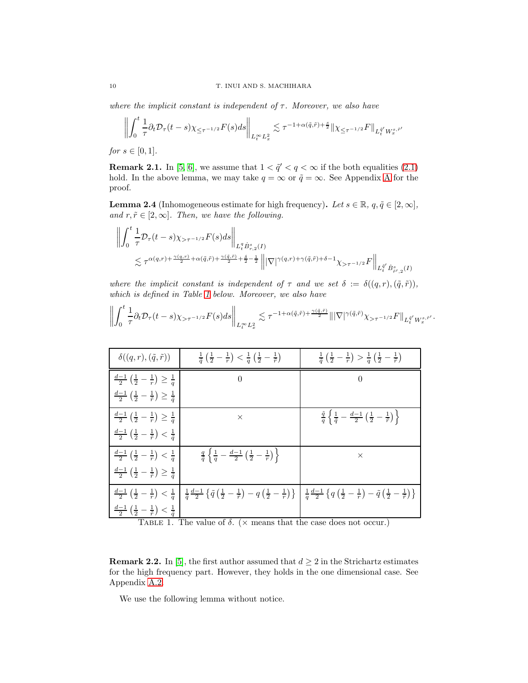where the implicit constant is independent of  $\tau$ . Moreover, we also have

$$
\left\| \int_0^t \frac{1}{\tau} \partial_t \mathcal{D}_\tau (t-s) \chi_{\leq \tau^{-1/2}} F(s) ds \right\|_{L_t^\infty L_x^2} \lesssim \tau^{-1+\alpha(\tilde{q}, \tilde{r}) + \frac{s}{2}} \|\chi_{\leq \tau^{-1/2}} F\|_{L_t^{\tilde{q}'} W_x^{s, \tilde{r}'}}
$$

for  $s \in [0,1]$ .

**Remark 2.1.** In [\[5,](#page-29-13) [6\]](#page-29-14), we assume that  $1 < \tilde{q}' < q < \infty$  if the both equalities [\(2.1\)](#page-8-1) hold. In the above lemma, we may take  $q = \infty$  or  $\tilde{q} = \infty$ . See [A](#page-24-0)ppendix A for the proof.

<span id="page-9-1"></span>**Lemma 2.4** (Inhomogeneous estimate for high frequency). Let  $s \in \mathbb{R}$ ,  $q, \tilde{q} \in [2, \infty]$ , and  $r, \tilde{r} \in [2, \infty]$ . Then, we have the following.

$$
\left\| \int_0^t \frac{1}{\tau} \mathcal{D}_\tau(t-s) \chi_{>\tau^{-1/2}} F(s) ds \right\|_{L_t^q \dot{B}_{r,2}^s(I)} \leq \tau^{\alpha(q,r) + \frac{\gamma(q,r)}{2} + \alpha(\tilde{q},\tilde{r}) + \frac{\gamma(\tilde{q},\tilde{r})}{2} + \frac{\delta}{2} - \frac{1}{2}} \left\| |\nabla|^{\gamma(q,r) + \gamma(\tilde{q},\tilde{r}) + \delta - 1} \chi_{>\tau^{-1/2}} F \right\|_{L_t^{\tilde{q}'} \dot{B}_{r',2}^s(I)}
$$

where the implicit constant is independent of  $\tau$  and we set  $\delta := \delta((q, r), (\tilde{q}, \tilde{r}))$ , which is defined in Table [1](#page-9-0) below. Moreover, we also have

| $\delta((q,r),(\tilde{q},\tilde{r}))$                                    | $\frac{1}{\tilde{q}}\left(\frac{1}{2}-\frac{1}{r}\right)<\frac{1}{q}\left(\frac{1}{2}-\frac{1}{\tilde{r}}\right)$                                                                                                                                                                                                                                          | $\frac{1}{\tilde{q}}\left(\frac{1}{2}-\frac{1}{r}\right) > \frac{1}{q}\left(\frac{1}{2}-\frac{1}{\tilde{r}}\right)$         |
|--------------------------------------------------------------------------|------------------------------------------------------------------------------------------------------------------------------------------------------------------------------------------------------------------------------------------------------------------------------------------------------------------------------------------------------------|-----------------------------------------------------------------------------------------------------------------------------|
| $\frac{d-1}{2}(\frac{1}{2}-\frac{1}{r})\geq \frac{1}{q}$                 | $\theta$                                                                                                                                                                                                                                                                                                                                                   | $\Omega$                                                                                                                    |
| $\frac{d-1}{2}(\frac{1}{2}-\frac{1}{\tilde{r}})\geq \frac{1}{\tilde{q}}$ |                                                                                                                                                                                                                                                                                                                                                            |                                                                                                                             |
| $\frac{d-1}{2}(\frac{1}{2}-\frac{1}{r})\geq \frac{1}{a}$                 | $\times$                                                                                                                                                                                                                                                                                                                                                   | $\frac{\tilde{q}}{q} \left\{ \frac{1}{\tilde{q}} - \frac{d-1}{2} \left( \frac{1}{2} - \frac{1}{\tilde{r}} \right) \right\}$ |
| $\frac{d-1}{2}(\frac{1}{2}-\frac{1}{\tilde{r}})<\frac{1}{\tilde{q}}$     |                                                                                                                                                                                                                                                                                                                                                            |                                                                                                                             |
| $\frac{d-1}{2}(\frac{1}{2}-\frac{1}{r})<\frac{1}{q}$                     | $\frac{q}{\tilde{q}}\left\{\frac{1}{q}-\frac{d-1}{2}\left(\frac{1}{2}-\frac{1}{r}\right)\right\}$                                                                                                                                                                                                                                                          | $\times$                                                                                                                    |
| $\frac{d-1}{2}(\frac{1}{2}-\frac{1}{\tilde{r}})\geq \frac{1}{\tilde{q}}$ |                                                                                                                                                                                                                                                                                                                                                            |                                                                                                                             |
|                                                                          | $\frac{d-1}{2}\left(\frac{1}{2}-\frac{1}{r}\right)<\frac{1}{q}\left[\frac{1}{\tilde{q}}\frac{d-1}{2}\left\{\tilde{q}\left(\frac{1}{2}-\frac{1}{\tilde{r}}\right)-q\left(\frac{1}{2}-\frac{1}{r}\right)\right\}\ \Big \ \frac{1}{q}\frac{d-1}{2}\left\{q\left(\frac{1}{2}-\frac{1}{r}\right)-\tilde{q}\left(\frac{1}{2}-\frac{1}{\tilde{r}}\right)\right\}$ |                                                                                                                             |
| $\frac{d-1}{2}(\frac{1}{2}-\frac{1}{\tilde{r}})<\frac{1}{\tilde{a}}$     |                                                                                                                                                                                                                                                                                                                                                            |                                                                                                                             |

  $\int_0^t$  $\mathbf{0}$ 1  $-\frac{1}{\tau}\partial_t \mathcal{D}_\tau (t-s) \chi_{>\tau^{-1/2}} F(s) ds$  $\bigg\|_{L^{\infty}_t L^2_x}$  $\lesssim \tau^{-1+\alpha(\tilde{q},\tilde{r})+\frac{\gamma(\tilde{q},\tilde{r})}{2}}\||\nabla|^{\gamma(\tilde{q},\tilde{r})}\chi_{>\tau^{-1/2}}F\|_{L_t^{\tilde{q}'}W_x^{s,\tilde{r}'}}.$ 

<span id="page-9-0"></span>TABLE 1. The value of  $\delta$ . ( $\times$  means that the case does not occur.)

**Remark 2.2.** In [\[5\]](#page-29-13), the first author assumed that  $d \geq 2$  in the Strichartz estimates for the high frequency part. However, they holds in the one dimensional case. See Appendix [A.2.](#page-26-0)

We use the following lemma without notice.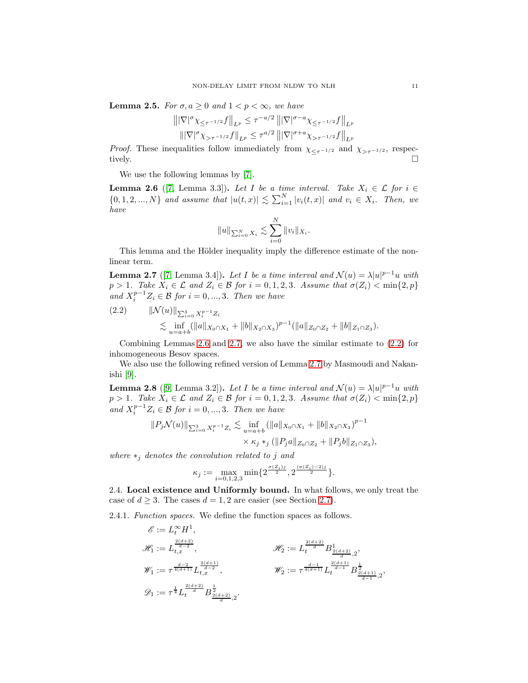**Lemma 2.5.** For  $\sigma, a \geq 0$  and  $1 < p < \infty$ , we have

$$
\left\| |\nabla|^{\sigma} \chi_{\leq \tau^{-1/2}} f \right\|_{L^p} \leq \tau^{-a/2} \left\| |\nabla|^{\sigma - a} \chi_{\leq \tau^{-1/2}} f \right\|_{L^p}
$$
  

$$
\left\| |\nabla|^{\sigma} \chi_{> \tau^{-1/2}} f \right\|_{L^p} \leq \tau^{a/2} \left\| |\nabla|^{\sigma + a} \chi_{> \tau^{-1/2}} f \right\|_{L^p}
$$

*Proof.* These inequalities follow immediately from  $\chi_{\leq \tau^{-1/2}}$  and  $\chi_{> \tau^{-1/2}}$ , respectively. tively.

We use the following lemmas by [\[7\]](#page-29-0).

<span id="page-10-1"></span>**Lemma 2.6** ([\[7,](#page-29-0) Lemma 3.3]). Let I be a time interval. Take  $X_i \in \mathcal{L}$  for  $i \in$  $\{0, 1, 2, ..., N\}$  and assume that  $|u(t,x)| \lesssim \sum_{i=1}^{N} |v_i(t,x)|$  and  $v_i \in X_i$ . Then, we have

$$
||u||_{\sum_{i=0}^{N} X_i} \lesssim \sum_{i=0}^{N} ||v_i||_{X_i}.
$$

This lemma and the Hölder inequality imply the difference estimate of the nonlinear term.

<span id="page-10-2"></span>**Lemma 2.7** ([\[7,](#page-29-0) Lemma 3.4]). Let I be a time interval and  $\mathcal{N}(u) = \lambda |u|^{p-1}u$  with p > 1. Take  $X_i \in \mathcal{L}$  and  $Z_i \in \mathcal{B}$  for  $i = 0, 1, 2, 3$ . Assume that  $\sigma(Z_i) < \min\{2, p\}$ and  $X_i^{p-1}Z_i \in \mathcal{B}$  for  $i = 0, ..., 3$ . Then we have

<span id="page-10-3"></span>
$$
(2.2) \qquad \|\mathcal{N}(u)\|_{\sum_{i=0}^3 X_i^{p-1} Z_i}
$$
  
\$\lesssim\$  $\inf_{u=a+b} (\|a\|_{X_0 \cap X_1} + \|b\|_{X_2 \cap X_3})^{p-1} (\|a\|_{Z_0 \cap Z_2} + \|b\|_{Z_1 \cap Z_3}).$ 

Combining Lemmas [2.6](#page-10-1) and [2.7,](#page-10-2) we also have the similar estimate to [\(2.2\)](#page-10-3) for inhomogeneous Besov spaces.

We also use the following refined version of Lemma [2.7](#page-10-2) by Masmoudi and Nakanishi [\[9\]](#page-29-2).

**Lemma 2.8** ([\[9,](#page-29-2) Lemma 3.2]). Let I be a time interval and  $\mathcal{N}(u) = \lambda |u|^{p-1}u$  with  $p > 1$ . Take  $X_i \in \mathcal{L}$  and  $Z_i \in \mathcal{B}$  for  $i = 0, 1, 2, 3$ . Assume that  $\sigma(Z_i) < \min\{2, p\}$ and  $X_i^{p-1}Z_i \in \mathcal{B}$  for  $i = 0, ..., 3$ . Then we have

$$
||P_j \mathcal{N}(u)||_{\sum_{i=0}^3 X_i^{p-1} Z_i} \lesssim \inf_{u=a+b} (||a||_{X_0 \cap X_1} + ||b||_{X_2 \cap X_3})^{p-1}
$$
  
 
$$
\times \kappa_j *_{j} (||P_j a||_{Z_0 \cap Z_2} + ||P_j b||_{Z_1 \cap Z_3}),
$$

where  $*_i$  denotes the convolution related to j and

$$
\kappa_j := \max_{i=0,1,2,3} \min\{2^{\frac{\sigma(Z_i)j}{2}}, 2^{\frac{(\sigma(Z_i)-2)j}{2}}\}.
$$

<span id="page-10-0"></span>2.4. Local existence and Uniformly bound. In what follows, we only treat the case of  $d \geq 3$ . The cases  $d = 1, 2$  are easier (see Section [2.7\)](#page-21-0).

2.4.1. Function spaces. We define the function spaces as follows.

$$
\begin{aligned} \mathscr{E} &:= L_t^\infty H^1, \\ \mathscr{H}_1 &:= L_{t,x}^{\frac{2(d+2)}{d-2}}, \qquad \qquad \mathscr{H}_2 &:= L_t^{\frac{2(d+2)}{d}} B^1_{\frac{2(d+2)}{d},2}, \\ \mathscr{W}_1 &:= \tau^{\frac{d-2}{4(d+1)}} L_{t,x}^{\frac{2(d+1)}{d-2}}, \qquad \qquad \mathscr{W}_2 &:= \tau^{\frac{d-1}{4(d+1)}} L_t^{\frac{2(d+1)}{d-1}} B^{\frac{1}{2}}_{\frac{2(d+1)}{d-1},2}, \\ \mathscr{D}_1 &:= \tau^{\frac{1}{4}} L_t^{\frac{2(d+2)}{d}} B^{\frac{1}{2}}_{\frac{2(d+2)}{d-2},2}. \end{aligned}
$$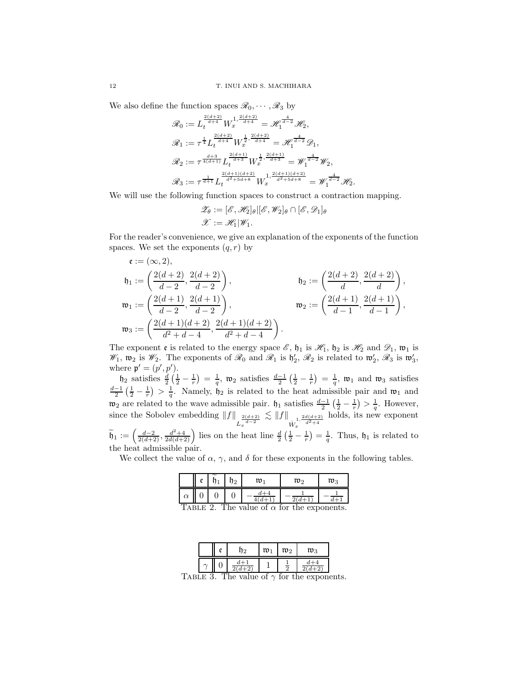We also define the function spaces  $\mathcal{R}_0, \cdots, \mathcal{R}_3$  by

$$
\mathscr{R}_0 := L_t^{\frac{2(d+2)}{d+4}} W_x^{1, \frac{2(d+2)}{d+4}} = \mathscr{H}_1^{\frac{4}{d-2}} \mathscr{H}_2,
$$
  
\n
$$
\mathscr{R}_1 := \tau^{\frac{1}{4}} L_t^{\frac{2(d+2)}{d+4}} W_x^{\frac{1}{2}, \frac{2(d+2)}{d+4}} = \mathscr{H}_1^{\frac{4}{d-2}} \mathscr{D}_1,
$$
  
\n
$$
\mathscr{R}_2 := \tau^{\frac{d+3}{4(d+1)}} L_t^{\frac{2(d+1)}{d+3}} W_x^{\frac{1}{2}, \frac{2(d+1)}{d+3}} = \mathscr{W}_1^{\frac{4}{d-2}} \mathscr{W}_2,
$$
  
\n
$$
\mathscr{R}_3 := \tau^{\frac{1}{d+1}} L_t^{\frac{2(d+1)(d+2)}{d^2+5d+8}} W_x^{1, \frac{2(d+1)(d+2)}{d^2+5d+8}} = \mathscr{W}_1^{\frac{4}{d-2}} \mathscr{H}_2.
$$

We will use the following function spaces to construct a contraction mapping.

$$
\mathscr{Z}_{\theta} := [\mathscr{E}, \mathscr{H}_2]_{\theta} | [\mathscr{E}, \mathscr{W}_2]_{\theta} \cap [\mathscr{E}, \mathscr{D}_1]_{\theta}
$$
  

$$
\mathscr{X} := \mathscr{H}_1 | \mathscr{W}_1.
$$

For the reader's convenience, we give an explanation of the exponents of the function spaces. We set the exponents  $(q, r)$  by

$$
\begin{aligned}\n\mathfrak{e} &:= (\infty, 2), \\
\mathfrak{h}_1 &:= \left(\frac{2(d+2)}{d-2}, \frac{2(d+2)}{d-2}\right), \\
\mathfrak{w}_1 &:= \left(\frac{2(d+1)}{d-2}, \frac{2(d+1)}{d-2}\right), \\
\mathfrak{w}_2 &:= \left(\frac{2(d+1)}{d-1}, \frac{2(d+1)}{d-1}\right), \\
\mathfrak{w}_3 &:= \left(\frac{2(d+1)(d+2)}{d^2+d-4}, \frac{2(d+1)(d+2)}{d^2+d-4}\right).\n\end{aligned}
$$

The exponent  $\mathfrak e$  is related to the energy space  $\mathscr E$ ,  $\mathfrak h_1$  is  $\mathscr H_1$ ,  $\mathfrak h_2$  is  $\mathscr H_2$  and  $\mathscr D_1$ ,  $\mathfrak w_1$  is  $\mathscr{W}_1$ ,  $\mathfrak{w}_2$  is  $\mathscr{W}_2$ . The exponents of  $\mathscr{R}_0$  and  $\mathscr{R}_1$  is  $\mathfrak{h}'_2$ ,  $\mathscr{R}_2$  is related to  $\mathfrak{w}'_2$ ,  $\mathscr{R}_3$  is  $\mathfrak{w}'_3$ , where  $\mathfrak{p}' = (p', p').$ 

 $\notag$  h<sub>2</sub> satisfies  $\frac{d}{2}(\frac{1}{2}-\frac{1}{r}) = \frac{1}{q}$ ,  $\notag$   $\notag$  satisfies  $\frac{d-1}{2}(\frac{1}{2}-\frac{1}{r}) = \frac{1}{q}$ ,  $\notag$   $\notag$  and  $\notag$  satisfies  $\frac{d-1}{2}(\frac{1}{2}-\frac{1}{r}) > \frac{1}{q}$ . Namely,  $\mathfrak{h}_2$  is related to the heat admissible pair and  $\mathfrak{w}_1$  and  $\mathfrak{w}_2$  are related to the wave admissible pair.  $\mathfrak{h}_1$  satisfies  $\frac{d-1}{2} \left( \frac{1}{2} - \frac{1}{r} \right) > \frac{1}{q}$ . However, since the Sobolev embedding  $||f||_{L_x^{\frac{2(d+2)}{d-2}}} \lesssim ||f||_{W_x^{\frac{1}{d^2+4}}}$ holds, its new exponent  $\widetilde{\mathfrak{h}}_1 := \left( \frac{d-2}{2(d+2)}, \frac{d^2+4}{2d(d+2)} \right)$  lies on the heat line  $\frac{d}{2} \left( \frac{1}{2} - \frac{1}{r} \right) = \frac{1}{q}$ . Thus,  $\mathfrak{h}_1$  is related to

the heat admissible pair.

We collect the value of  $\alpha$ ,  $\gamma$ , and  $\delta$  for these exponents in the following tables.

|          | o | м      | 2      | υ٠         | m›                | $\mathfrak{w}_3$ |
|----------|---|--------|--------|------------|-------------------|------------------|
| $\alpha$ | v | U      |        |            |                   |                  |
| $\sim$   |   | $\sim$ | $\sim$ | $\epsilon$ | $\epsilon$<br>. . |                  |

TABLE 2. The value of  $\alpha$  for the exponents.

|  |            | $\mathfrak{w}$ | $\mathfrak{w}_2$ | $\mathfrak{v}_3$ |
|--|------------|----------------|------------------|------------------|
|  | $\bm{u}$ - |                | $\Omega$         |                  |

TABLE 3. The value of  $\gamma$  for the exponents.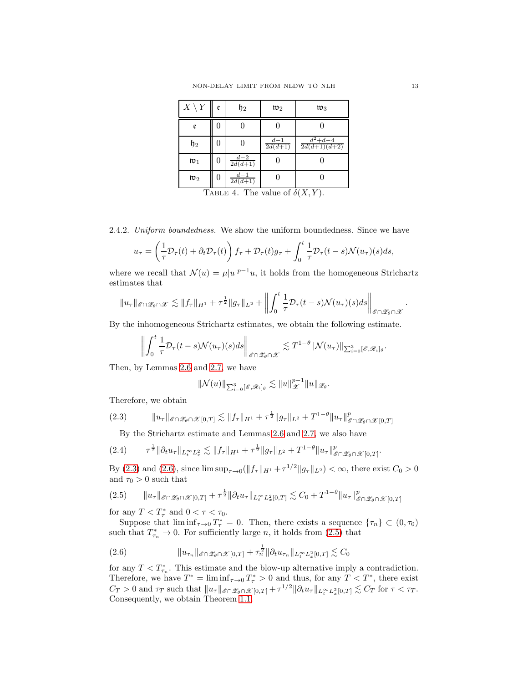| $X \setminus Y$  | e | $\mathfrak{h}_2$    | $\mathfrak{w}_2$      | $\mathfrak{w}_3$            |
|------------------|---|---------------------|-----------------------|-----------------------------|
| e                | 0 |                     |                       |                             |
| $\mathfrak{h}_2$ | 0 |                     | $\frac{d-1}{2d(d+1)}$ | $d^2+d-4$<br>$2d(d+1)(d+2)$ |
| $\mathfrak{w}_1$ | 0 | $rac{d-2}{2d(d+1)}$ |                       |                             |
| $\mathfrak{w}_2$ | 0 | $d-1$<br>$2d(d+1)$  |                       |                             |
| $\mathbf{r}$     |   | $\sqrt{1}$          | п.                    | $C$ $C$ $(TT - TT)$         |

TABLE 4. The value of  $\delta(X, Y)$ .

2.4.2. Uniform boundedness. We show the uniform boundedness. Since we have

$$
u_{\tau} = \left(\frac{1}{\tau} \mathcal{D}_{\tau}(t) + \partial_t \mathcal{D}_{\tau}(t)\right) f_{\tau} + \mathcal{D}_{\tau}(t)g_{\tau} + \int_0^t \frac{1}{\tau} \mathcal{D}_{\tau}(t-s) \mathcal{N}(u_{\tau})(s)ds,
$$

where we recall that  $\mathcal{N}(u) = \mu |u|^{p-1}u$ , it holds from the homogeneous Strichartz estimates that

$$
||u_{\tau}||_{\mathscr{E}\cap\mathscr{Z}_{\theta}\cap\mathscr{X}} \lesssim ||f_{\tau}||_{H^{1}} + \tau^{\frac{1}{2}}||g_{\tau}||_{L^{2}} + \left\|\int_{0}^{t} \frac{1}{\tau} \mathcal{D}_{\tau}(t-s) \mathcal{N}(u_{\tau})(s) ds\right\|_{\mathscr{E}\cap\mathscr{Z}_{\theta}\cap\mathscr{X}}
$$

By the inhomogeneous Strichartz estimates, we obtain the following estimate.

$$
\left\| \int_0^t \frac{1}{\tau} \mathcal{D}_\tau(t-s) \mathcal{N}(u_\tau)(s) ds \right\|_{\mathscr{E} \cap \mathscr{Z}_{\theta} \cap \mathscr{X}} \lesssim T^{1-\theta} \|\mathcal{N}(u_\tau)\|_{\sum_{i=0}^3 [\mathscr{E}, \mathscr{R}_i]_{\theta}}.
$$

Then, by Lemmas [2.6](#page-10-1) and [2.7,](#page-10-2) we have

$$
\|\mathcal{N}(u)\|_{\sum_{i=0}^3[\mathscr{E},\mathscr{R}_i]_\theta} \lesssim \|u\|_{\mathscr{X}}^{p-1} \|u\|_{\mathscr{Z}_{\theta}}.
$$

Therefore, we obtain

<span id="page-12-0"></span>
$$
(2.3) \t\t ||u_{\tau}||_{\mathscr{E}\cap\mathscr{Z}_{\theta}\cap\mathscr{X}[0,T]} \lesssim ||f_{\tau}||_{H^{1}} + \tau^{\frac{1}{2}}||g_{\tau}||_{L^{2}} + T^{1-\theta}||u_{\tau}||_{\mathscr{E}\cap\mathscr{Z}_{\theta}\cap\mathscr{X}[0,T]}^{p}
$$

By the Strichartz estimate and Lemmas [2.6](#page-10-1) and [2.7,](#page-10-2) we also have

$$
(2.4) \t\t \tau^{\frac{1}{2}} \|\partial_t u_\tau\|_{L_t^\infty L_x^2} \lesssim \|f_\tau\|_{H^1} + \tau^{\frac{1}{2}} \|g_\tau\|_{L^2} + T^{1-\theta} \|u_\tau\|_{\mathscr{E}\cap \mathscr{Z}_{\theta}\cap \mathscr{X}[0,T]}^p.
$$

By [\(2.3\)](#page-12-0) and [\(2.6\)](#page-12-1), since  $\limsup_{\tau \to 0} (\|f_{\tau}\|_{H^1} + \tau^{1/2} \|g_{\tau}\|_{L^2}) < \infty$ , there exist  $C_0 > 0$ and  $\tau_0 > 0$  such that

<span id="page-12-2"></span>
$$
(2.5) \t\t ||u_\tau||_{\mathcal{E}\cap\mathscr{Z}_{\theta}\cap\mathscr{X}[0,T]} + \tau^{\frac{1}{2}} ||\partial_t u_\tau||_{L_t^\infty L_x^2[0,T]} \lesssim C_0 + T^{1-\theta} ||u_\tau||_{\mathscr{E}\cap\mathscr{Z}_{\theta}\cap\mathscr{X}[0,T]}^p
$$

for any  $T < T^*_{\tau}$  and  $0 < \tau < \tau_0$ .

Suppose that  $\liminf_{\tau \to 0} T_{\tau}^* = 0$ . Then, there exists a sequence  $\{\tau_n\} \subset (0, \tau_0)$ such that  $T_{\tau_n}^* \to 0$ . For sufficiently large *n*, it holds from [\(2.5\)](#page-12-2) that

<span id="page-12-1"></span>(2.6) 
$$
\|u_{\tau_n}\|_{\mathcal{E}\cap\mathcal{Z}_{\theta}\cap\mathcal{X}[0,T]} + \tau_n^{\frac{1}{2}} \|\partial_t u_{\tau_n}\|_{L_t^\infty L_x^2[0,T]} \lesssim C_0
$$

for any  $T < T_{\tau_n}^*$ . This estimate and the blow-up alternative imply a contradiction. Therefore, we have  $T^* = \liminf_{\tau \to 0} T^*$  > 0 and thus, for any  $T < T^*$ , there exist  $C_T > 0$  and  $\tau_T$  such that  $||u_\tau||_{\mathscr{E} \cap \mathscr{Z}_{\theta} \cap \mathscr{X}[0,T]} + \tau^{1/2} ||\partial_t u_\tau||_{L_t^\infty L_x^2[0,T]} \lesssim C_T$  for  $\tau < \tau_T$ . Consequently, we obtain Theorem [1.1.](#page-3-2)

.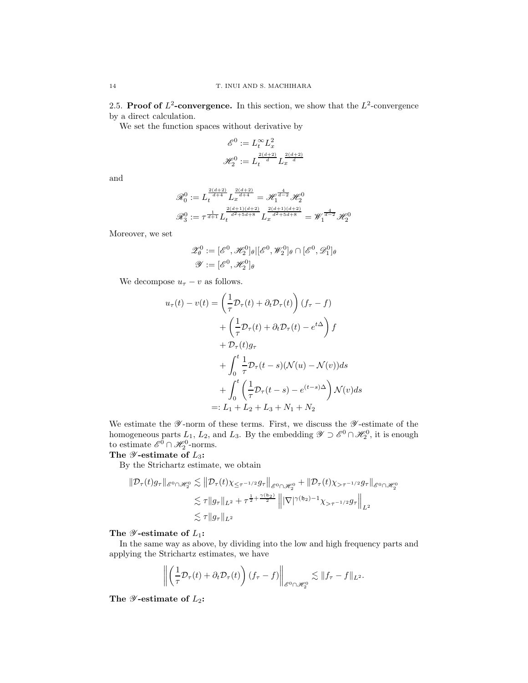<span id="page-13-0"></span>2.5. Proof of  $L^2$ -convergence. In this section, we show that the  $L^2$ -convergence by a direct calculation.

We set the function spaces without derivative by

$$
\begin{aligned} \mathscr{E}^0 &:= L_t^\infty L_x^2 \\ \mathscr{H}_2^0 &:= L_t^{\frac{2(d+2)}{d}} L_x^{\frac{2(d+2)}{d}} \end{aligned}
$$

and

$$
\mathcal{R}_0^0 := L_t^{\frac{2(d+2)}{d+4}} L_x^{\frac{2(d+2)}{d+4}} = \mathcal{H}_1^{\frac{4}{d-2}} \mathcal{H}_2^0
$$

$$
\mathcal{R}_3^0 := \tau^{\frac{1}{d+1}} L_t^{\frac{2(d+1)(d+2)}{d^2+5d+8}} L_x^{\frac{2(d+1)(d+2)}{d^2+5d+8}} = \mathcal{W}_1^{\frac{4}{d-2}} \mathcal{H}_2^0
$$

Moreover, we set

$$
\mathscr{Z}_{\theta}^{0} := [\mathscr{E}^{0}, \mathscr{H}_{2}^{0}]_{\theta} | [\mathscr{E}^{0}, \mathscr{W}_{2}^{0}]_{\theta} \cap [\mathscr{E}^{0}, \mathscr{D}_{1}^{0}]_{\theta}
$$

$$
\mathscr{Y} := [\mathscr{E}^{0}, \mathscr{H}_{2}^{0}]_{\theta}
$$

We decompose  $u_{\tau} - v$  as follows.

$$
u_{\tau}(t) - v(t) = \left(\frac{1}{\tau}\mathcal{D}_{\tau}(t) + \partial_{t}\mathcal{D}_{\tau}(t)\right)(f_{\tau} - f)
$$
  
+ 
$$
\left(\frac{1}{\tau}\mathcal{D}_{\tau}(t) + \partial_{t}\mathcal{D}_{\tau}(t) - e^{t\Delta}\right)f
$$
  
+ 
$$
\mathcal{D}_{\tau}(t)g_{\tau}
$$
  
+ 
$$
\int_{0}^{t} \frac{1}{\tau}\mathcal{D}_{\tau}(t - s)(\mathcal{N}(u) - \mathcal{N}(v))ds
$$
  
+ 
$$
\int_{0}^{t} \left(\frac{1}{\tau}\mathcal{D}_{\tau}(t - s) - e^{(t-s)\Delta}\right)\mathcal{N}(v)ds
$$
  
=: 
$$
L_{1} + L_{2} + L_{3} + N_{1} + N_{2}
$$

We estimate the  $\mathscr Y$ -norm of these terms. First, we discuss the  $\mathscr Y$ -estimate of the homogeneous parts  $L_1$ ,  $L_2$ , and  $L_3$ . By the embedding  $\mathscr{Y} \supset \mathscr{E}^0 \cap \mathscr{H}_2^0$ , it is enough to estimate  $\mathscr{E}^0 \cap \mathscr{H}_2^0$ -norms.

# The  $\mathscr Y$ -estimate of  $L_3$ :

By the Strichartz estimate, we obtain

$$
\begin{aligned}\n\|\mathcal{D}_{\tau}(t)g_{\tau}\|_{\mathscr{E}^{0}\cap\mathscr{H}_{2}^{0}} &\lesssim \left\|\mathcal{D}_{\tau}(t)\chi_{\leq\tau^{-1/2}}g_{\tau}\right\|_{\mathscr{E}^{0}\cap\mathscr{H}_{2}^{0}} + \left\|\mathcal{D}_{\tau}(t)\chi_{>\tau^{-1/2}}g_{\tau}\right\|_{\mathscr{E}^{0}\cap\mathscr{H}_{2}^{0}} \\
&\lesssim \tau\|g_{\tau}\|_{L^{2}} + \tau^{\frac{1}{2}+\frac{\gamma\left(\mathfrak{h}_{2}\right)}{2}} \left\||\nabla|^{\gamma\left(\mathfrak{h}_{2}\right)-1}\chi_{>\tau^{-1/2}}g_{\tau}\right\|_{L^{2}} \\
&\lesssim \tau\|g_{\tau}\|_{L^{2}}\n\end{aligned}
$$

## The  $\mathscr Y$ -estimate of  $L_1$ :

In the same way as above, by dividing into the low and high frequency parts and applying the Strichartz estimates, we have

$$
\left\| \left( \frac{1}{\tau} \mathcal{D}_{\tau}(t) + \partial_t \mathcal{D}_{\tau}(t) \right) (f_{\tau} - f) \right\|_{\mathscr{E}^0 \cap \mathscr{H}_2^0} \lesssim \| f_{\tau} - f \|_{L^2}.
$$

The  $\mathscr Y$ -estimate of  $L_2$ :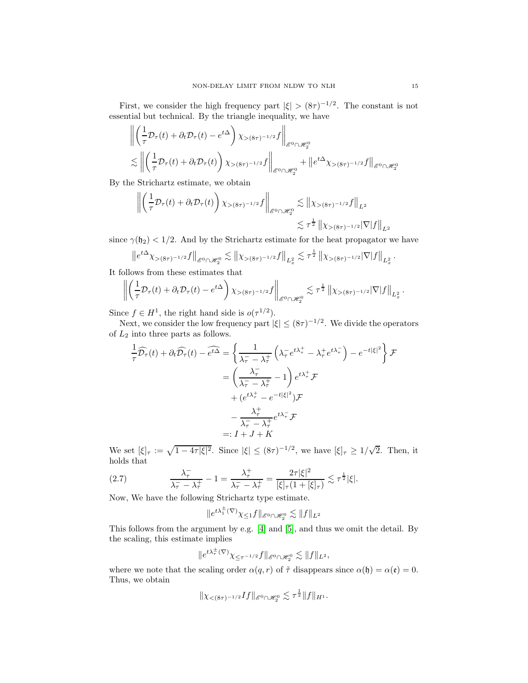First, we consider the high frequency part  $|\xi| > (8\tau)^{-1/2}$ . The constant is not essential but technical. By the triangle inequality, we have

$$
\begin{aligned}\n\left\| \left( \frac{1}{\tau} \mathcal{D}_{\tau}(t) + \partial_t \mathcal{D}_{\tau}(t) - e^{t\Delta} \right) \chi_{>(8\tau)^{-1/2}} f \right\|_{\mathscr{E}^0 \cap \mathscr{H}_2^0} \\
&\lesssim \left\| \left( \frac{1}{\tau} \mathcal{D}_{\tau}(t) + \partial_t \mathcal{D}_{\tau}(t) \right) \chi_{>(8\tau)^{-1/2}} f \right\|_{\mathscr{E}^0 \cap \mathscr{H}_2^0} + \left\| e^{t\Delta} \chi_{>(8\tau)^{-1/2}} f \right\|_{\mathscr{E}^0 \cap \mathscr{H}_2^0}\n\end{aligned}
$$

By the Strichartz estimate, we obtain

$$
\left\| \left( \frac{1}{\tau} \mathcal{D}_{\tau}(t) + \partial_t \mathcal{D}_{\tau}(t) \right) \chi_{>(8\tau)^{-1/2}} f \right\|_{\mathscr{E}^0 \cap \mathscr{H}_2^0} \lesssim \left\| \chi_{>(8\tau)^{-1/2}} f \right\|_{L^2}
$$
  

$$
\lesssim \tau^{\frac{1}{2}} \left\| \chi_{>(8\tau)^{-1/2}} |\nabla| f \right\|_{L^2}
$$

since  $\gamma(\mathfrak{h}_2) < 1/2$ . And by the Strichartz estimate for the heat propagator we have

$$
\left\|e^{t\Delta}\chi_{>(8\tau)^{-1/2}}f\right\|_{\mathscr{E}^{0}\cap\mathscr{H}_{2}^{0}} \lesssim \left\|\chi_{>(8\tau)^{-1/2}}f\right\|_{L_{x}^{2}} \lesssim \tau^{\frac{1}{2}}\left\|\chi_{>(8\tau)^{-1/2}}|\nabla|f\right\|_{L_{x}^{2}}.
$$

It follows from these estimates that

$$
\left\| \left( \frac{1}{\tau} \mathcal{D}_{\tau}(t) + \partial_t \mathcal{D}_{\tau}(t) - e^{t\Delta} \right) \chi_{>(8\tau)^{-1/2}} f \right\|_{\mathscr{E}^0 \cap \mathscr{H}_2^0} \lesssim \tau^{\frac{1}{2}} \left\| \chi_{>(8\tau)^{-1/2}} |\nabla| f \right\|_{L_x^2}.
$$

Since  $f \in H^1$ , the right hand side is  $o(\tau^{1/2})$ .

Next, we consider the low frequency part  $|\xi| \leq (8\tau)^{-1/2}$ . We divide the operators of  $L_2$  into three parts as follows.

$$
\frac{1}{\tau}\widehat{\mathcal{D}_{\tau}}(t) + \partial_{t}\widehat{\mathcal{D}_{\tau}}(t) - \widehat{e^{t\Delta}} = \left\{ \frac{1}{\lambda_{\tau}^{-} - \lambda_{\tau}^{+}} \left( \lambda_{\tau}^{-} e^{t\lambda_{\tau}^{+}} - \lambda_{\tau}^{+} e^{t\lambda_{\tau}^{-}} \right) - e^{-t|\xi|^{2}} \right\} \mathcal{F}
$$
\n
$$
= \left( \frac{\lambda_{\tau}^{-}}{\lambda_{\tau}^{-} - \lambda_{\tau}^{+}} - 1 \right) e^{t\lambda_{\tau}^{+}} \mathcal{F}
$$
\n
$$
+ (e^{t\lambda_{\tau}^{+}} - e^{-t|\xi|^{2}}) \mathcal{F}
$$
\n
$$
- \frac{\lambda_{\tau}^{+}}{\lambda_{\tau}^{-} - \lambda_{\tau}^{+}} e^{t\lambda_{\tau}^{-}} \mathcal{F}
$$
\n
$$
=: I + J + K
$$

We set  $[\xi]_{\tau} := \sqrt{1 - 4\tau |\xi|^2}$ . Since  $|\xi| \le (8\tau)^{-1/2}$ , we have  $[\xi]_{\tau} \ge 1/\sqrt{2}$ . Then, it holds that

<span id="page-14-0"></span>(2.7) 
$$
\frac{\lambda_{\tau}^{-}}{\lambda_{\tau}^{-} - \lambda_{\tau}^{+}} - 1 = \frac{\lambda_{\tau}^{+}}{\lambda_{\tau}^{-} - \lambda_{\tau}^{+}} = \frac{2\tau|\xi|^{2}}{[\xi]_{\tau}(1 + [\xi]_{\tau})} \lesssim \tau^{\frac{1}{2}}|\xi|.
$$

Now, We have the following Strichartz type estimate.

$$
\|e^{t\lambda_1^\pm(\nabla)}\chi_{\leq 1}f\|_{\mathscr{E}^0\cap\mathscr{H}_2^0}\lesssim\|f\|_{L^2}
$$

This follows from the argument by e.g. [\[4\]](#page-29-15) and [\[5\]](#page-29-13), and thus we omit the detail. By the scaling, this estimate implies

$$
\|e^{t\lambda_\tau^{\pm}(\nabla)}\chi_{\leq \tau^{-1/2}}f\|_{\mathscr{E}^0\cap\mathscr{H}_2^0}\lesssim \|f\|_{L^2},
$$

where we note that the scaling order  $\alpha(q, r)$  of  $\tilde{\tau}$  disappears since  $\alpha(\mathfrak{h}) = \alpha(\mathfrak{e}) = 0$ . Thus, we obtain

$$
\|\chi_{\lt (8\tau)^{-1/2}}If\|_{\mathscr{E}^0\cap\mathscr{H}_2^0}\lesssim \tau^{\frac{1}{2}}\|f\|_{H^1}.
$$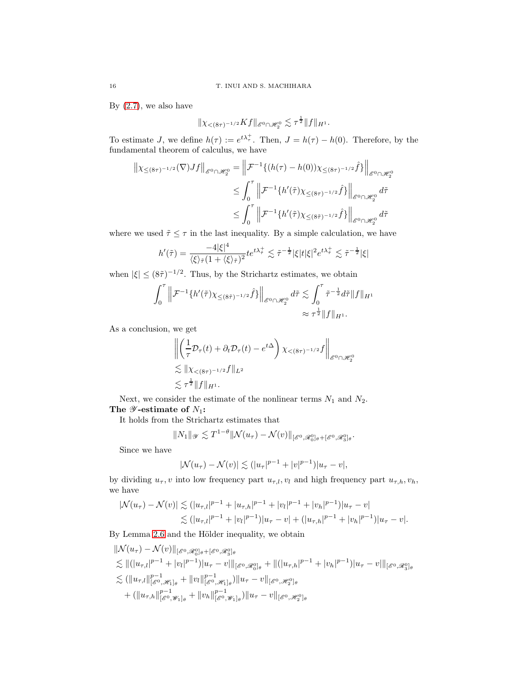By  $(2.7)$ , we also have

$$
\|\chi_{<(8\tau)^{-1/2}} Kf\|_{\mathscr{E}^{0}\cap\mathscr{H}_{2}^{0}} \lesssim \tau^{\frac{1}{2}} \|f\|_{H^{1}}.
$$

To estimate J, we define  $h(\tau) := e^{t\lambda \tau}$ . Then,  $J = h(\tau) - h(0)$ . Therefore, by the fundamental theorem of calculus, we have

$$
\|\chi_{\leq (8\tau)^{-1/2}}(\nabla)Jf\|_{\mathscr{E}^0 \cap \mathscr{H}_2^0} = \left\|\mathcal{F}^{-1}\{(h(\tau) - h(0))\chi_{\leq (8\tau)^{-1/2}}\hat{f}\}\right\|_{\mathscr{E}^0 \cap \mathscr{H}_2^0}
$$
  

$$
\leq \int_0^\tau \left\|\mathcal{F}^{-1}\{h'(\tilde{\tau})\chi_{\leq (8\tau)^{-1/2}}\hat{f}\}\right\|_{\mathscr{E}^0 \cap \mathscr{H}_2^0} d\tilde{\tau}
$$
  

$$
\leq \int_0^\tau \left\|\mathcal{F}^{-1}\{h'(\tilde{\tau})\chi_{\leq (8\tilde{\tau})^{-1/2}}\hat{f}\}\right\|_{\mathscr{E}^0 \cap \mathscr{H}_2^0} d\tilde{\tau}
$$

where we used  $\tilde{\tau} \leq \tau$  in the last inequality. By a simple calculation, we have

$$
h'(\tilde{\tau}) = \frac{-4|\xi|^4}{\langle \xi \rangle_{\tilde{\tau}} (1 + \langle \xi \rangle_{\tilde{\tau}})^2} t e^{t\lambda_{\tilde{\tau}}^+} \lesssim \tilde{\tau}^{-\frac{1}{2}} |\xi| t |\xi|^2 e^{t\lambda_{\tilde{\tau}}^+} \lesssim \tilde{\tau}^{-\frac{1}{2}} |\xi|
$$

when  $|\xi| \leq (8\tilde{\tau})^{-1/2}$ . Thus, by the Strichartz estimates, we obtain

$$
\int_0^\tau \left\| \mathcal{F}^{-1} \{ h'(\tilde{\tau}) \chi_{\leq (8\tilde{\tau})^{-1/2}} \hat{f} \} \right\|_{\mathcal{E}^0 \cap \mathcal{H}_2^0} d\tilde{\tau} \lesssim \int_0^\tau \tilde{\tau}^{-\frac{1}{2}} d\tilde{\tau} \| f \|_{H^1} \approx \tau^{\frac{1}{2}} \| f \|_{H^1}.
$$

As a conclusion, we get

$$
\left\| \left( \frac{1}{\tau} \mathcal{D}_{\tau}(t) + \partial_t \mathcal{D}_{\tau}(t) - e^{t\Delta} \right) \chi_{<(8\tau)^{-1/2}} f \right\|_{\mathscr{E}^0 \cap \mathscr{H}_2^0}
$$
  
\$\lesssim \|\chi\_{<(8\tau)^{-1/2}} f\|\_{L^2}\$  
\$\lesssim \tau^{\frac{1}{2}} \|f\|\_{H^1}.

Next, we consider the estimate of the nonlinear terms  $N_1$  and  $N_2$ . The  $\mathscr Y$ -estimate of  $N_1$ :

It holds from the Strichartz estimates that

$$
||N_1||_{\mathscr{Y}} \lesssim T^{1-\theta} ||\mathcal{N}(u_\tau) - \mathcal{N}(v)||_{[\mathscr{E}^0, \mathscr{R}_0^0]_\theta + [\mathscr{E}^0, \mathscr{R}_3^0]_\theta}.
$$

Since we have

$$
|\mathcal{N}(u_\tau)-\mathcal{N}(v)|\lesssim (|u_\tau|^{p-1}+|v|^{p-1})|u_\tau-v|,
$$

by dividing  $u_{\tau}$ , v into low frequency part  $u_{\tau,l}$ ,  $v_l$  and high frequency part  $u_{\tau,h}$ ,  $v_h$ , we have

$$
|\mathcal{N}(u_{\tau}) - \mathcal{N}(v)| \lesssim (|u_{\tau,l}|^{p-1} + |u_{\tau,h}|^{p-1} + |v_l|^{p-1} + |v_h|^{p-1})|u_{\tau} - v|
$$
  

$$
\lesssim (|u_{\tau,l}|^{p-1} + |v_l|^{p-1})|u_{\tau} - v| + (|u_{\tau,h}|^{p-1} + |v_h|^{p-1})|u_{\tau} - v|.
$$

By Lemma [2.6](#page-10-1) and the Hölder inequality, we obtain

$$
\| \mathcal{N}(u_{\tau}) - \mathcal{N}(v) \|_{[\mathcal{E}^{0}, \mathcal{R}_{0}^{0}]_{\theta} + [\mathcal{E}^{0}, \mathcal{R}_{3}^{0}]_{\theta}}
$$
\n
$$
\lesssim \| (|u_{\tau,l}|^{p-1} + |v_{l}|^{p-1}) |u_{\tau} - v| \|_{[\mathcal{E}^{0}, \mathcal{R}_{0}^{0}]_{\theta}} + \| (|u_{\tau,h}|^{p-1} + |v_{h}|^{p-1}) |u_{\tau} - v| \|_{[\mathcal{E}^{0}, \mathcal{R}_{3}^{0}]_{\theta}}
$$
\n
$$
\lesssim (||u_{\tau,l}||_{[\mathcal{E}^{0}, \mathcal{H}_{1}]_{\theta}}^{p-1} + ||v_{l}||_{[\mathcal{E}^{0}, \mathcal{H}_{1}]_{\theta}}^{p-1}) ||u_{\tau} - v| \|_{[\mathcal{E}^{0}, \mathcal{H}_{2}^{0}]_{\theta}}
$$
\n
$$
+ (||u_{\tau,h}||_{[\mathcal{E}^{0}, \mathcal{W}_{1}]_{\theta}}^{p-1} + ||v_{h}||_{[\mathcal{E}^{0}, \mathcal{W}_{1}]_{\theta}}^{p-1}) ||u_{\tau} - v||_{[\mathcal{E}^{0}, \mathcal{H}_{2}^{0}]_{\theta}}
$$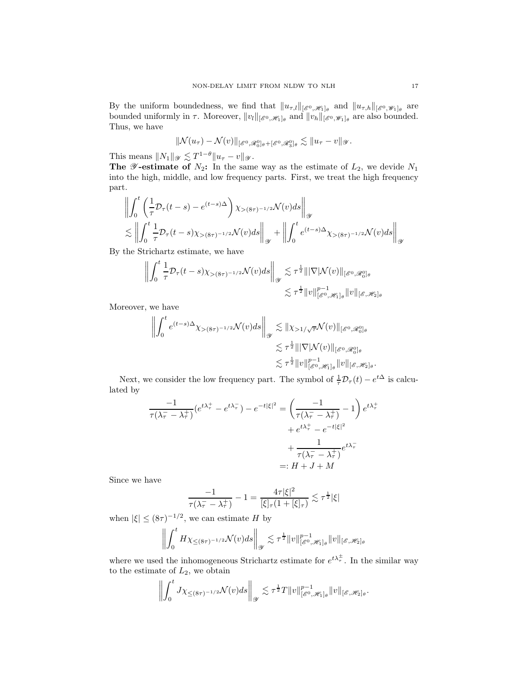By the uniform boundedness, we find that  $||u_{\tau,l}||_{[\mathscr{E}^0,\mathscr{H}_1]_\theta}$  and  $||u_{\tau,h}||_{[\mathscr{E}^0,\mathscr{W}_1]_\theta}$  are bounded uniformly in  $\tau$ . Moreover,  $||v_l||_{[\mathscr{E}^0, \mathscr{H}_1]_\theta}$  and  $||v_h||_{[\mathscr{E}^0, \mathscr{W}_1]_\theta}$  are also bounded. Thus, we have

$$
\|\mathcal{N}(u_\tau)-\mathcal{N}(v)\|_{[\mathscr{E}^0,\mathscr{R}_0^0]\theta+[\mathscr{E}^0,\mathscr{R}_3^0]\theta}\lesssim\|u_\tau-v\|_{\mathscr{Y}}.
$$

This means  $||N_1||_{\mathscr{Y}} \lesssim T^{1-\theta} ||u_\tau - v||_{\mathscr{Y}}.$ 

The  $\mathscr Y$ -estimate of  $N_2$ : In the same way as the estimate of  $L_2$ , we devide  $N_1$ into the high, middle, and low frequency parts. First, we treat the high frequency part.

$$
\left\| \int_0^t \left( \frac{1}{\tau} \mathcal{D}_\tau(t-s) - e^{(t-s)\Delta} \right) \chi_{>(8\tau)^{-1/2}} \mathcal{N}(v) ds \right\|_{\mathcal{Y}} \n\lesssim \left\| \int_0^t \frac{1}{\tau} \mathcal{D}_\tau(t-s) \chi_{>(8\tau)^{-1/2}} \mathcal{N}(v) ds \right\|_{\mathcal{Y}} + \left\| \int_0^t e^{(t-s)\Delta} \chi_{>(8\tau)^{-1/2}} \mathcal{N}(v) ds \right\|_{\mathcal{Y}}
$$

By the Strichartz estimate, we have

$$
\left\| \int_0^t \frac{1}{\tau} \mathcal{D}_\tau(t-s) \chi_{>(8\tau)^{-1/2}} \mathcal{N}(v) ds \right\|_{\mathscr{Y}} \lesssim \tau^{\frac{1}{2}} \|\nabla |\mathcal{N}(v)\|_{[\mathscr{E}^0, \mathscr{R}_0^0]_{\theta}} \lesssim \tau^{\frac{1}{2}} \|v\|_{[\mathscr{E}^0, \mathscr{H}_1]_{\theta}}^{\rho-1} \|v\|_{[\mathscr{E}, \mathscr{H}_2]_{\theta}}
$$

Moreover, we have

$$
\left\| \int_0^t e^{(t-s)\Delta} \chi_{>(8\tau)^{-1/2}} \mathcal{N}(v) ds \right\|_{\mathscr{Y}} \lesssim \|\chi_{>1/\sqrt{\tau}} \mathcal{N}(v)\|_{[\mathscr{E}^0, \mathscr{R}_0^0]_{\theta}}
$$
  

$$
\lesssim \tau^{\frac{1}{2}} \|\nabla |\mathcal{N}(v)\|_{[\mathscr{E}^0, \mathscr{R}_0^0]_{\theta}}
$$
  

$$
\lesssim \tau^{\frac{1}{2}} \|v\|_{[\mathscr{E}^0, \mathscr{H}_1]_{\theta}}^{p-1} \|v\|_{[\mathscr{E}, \mathscr{H}_2]_{\theta}}.
$$

Next, we consider the low frequency part. The symbol of  $\frac{1}{\tau} \mathcal{D}_{\tau}(t) - e^{t\Delta}$  is calculated by

$$
\frac{-1}{\tau(\lambda_{\tau}^{-} - \lambda_{\tau}^{+})} (e^{t\lambda_{\tau}^{+}} - e^{t\lambda_{\tau}^{-}}) - e^{-t|\xi|^{2}} = \left(\frac{-1}{\tau(\lambda_{\tau}^{-} - \lambda_{\tau}^{+})} - 1\right) e^{t\lambda_{\tau}^{+}} + e^{t\lambda_{\tau}^{+}} - e^{-t|\xi|^{2}}
$$

$$
+ \frac{1}{\tau(\lambda_{\tau}^{-} - \lambda_{\tau}^{+})} e^{t\lambda_{\tau}^{-}}
$$

$$
=: H + J + M
$$

Since we have

$$
\frac{-1}{\tau(\lambda_{\tau}^{-}-\lambda_{\tau}^{+})}-1=\frac{4\tau|\xi|^{2}}{[\xi]_{\tau}(1+[\xi]_{\tau})}\lesssim\tau^{\frac{1}{2}}|\xi|
$$

when  $|\xi| \le (8\tau)^{-1/2}$ , we can estimate H by

$$
\left\| \int_0^t H\chi_{\leq (8\tau)^{-1/2}} \mathcal{N}(v) ds \right\|_{\mathscr{Y}} \lesssim \tau^{\frac{1}{2}} \|v\|_{[\mathscr{E}^0, \mathscr{H}_1]_\theta}^{p-1} \|v\|_{[\mathscr{E}, \mathscr{H}_2]_\theta}
$$

where we used the inhomogeneous Strichartz estimate for  $e^{t\lambda_{\tau}^{\pm}}$ . In the similar way to the estimate of  $L_2$ , we obtain

$$
\left\| \int_0^t J\chi_{\leq (8\tau)^{-1/2}} \mathcal{N}(v) ds \right\|_{\mathscr{Y}} \lesssim \tau^{\frac{1}{2}} T \|v\|_{[\mathscr{E}^0, \mathscr{H}_1]_\theta}^{p-1} \|v\|_{[\mathscr{E}, \mathscr{H}_2]_\theta}.
$$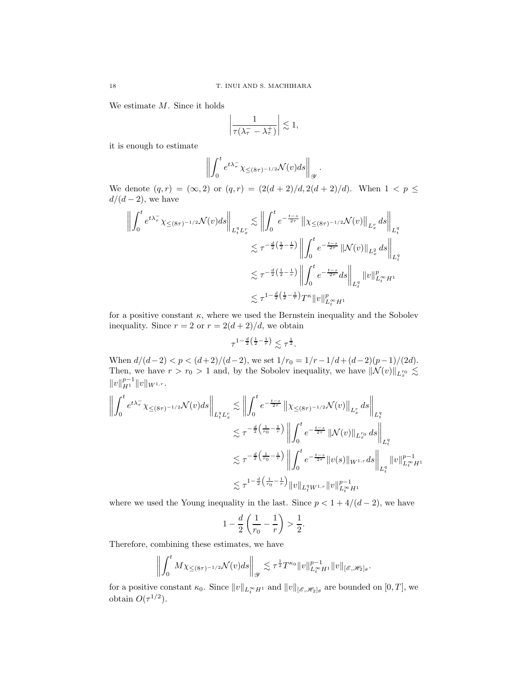We estimate M. Since it holds

$$
\left|\frac{1}{\tau(\lambda_{\tau}^{-}-\lambda_{\tau}^{+})}\right|\lesssim 1,
$$

it is enough to estimate

$$
\left\| \int_0^t e^{t\lambda_\tau^-} \chi_{\leq (8\tau)^{-1/2}} \mathcal{N}(v) ds \right\|_{\mathscr{Y}}.
$$

We denote  $(q, r) = (\infty, 2)$  or  $(q, r) = (2(d + 2)/d, 2(d + 2)/d)$ . When  $1 < p \le$  $d/(d-2)$ , we have

$$
\left\| \int_0^t e^{t\lambda_\tau^-} \chi_{\leq (8\tau)^{-1/2}} \mathcal{N}(v) ds \right\|_{L_t^q L_x^r} \lesssim \left\| \int_0^t e^{-\frac{t-s}{2\tau}} \left\| \chi_{\leq (8\tau)^{-1/2}} \mathcal{N}(v) \right\|_{L_x^r} ds \right\|_{L_t^q}
$$
  

$$
\lesssim \tau^{-\frac{d}{2} \left( \frac{1}{2} - \frac{1}{r} \right)} \left\| \int_0^t e^{-\frac{t-s}{2\tau}} \left\| \mathcal{N}(v) \right\|_{L_x^2} ds \right\|_{L_t^q}
$$
  

$$
\lesssim \tau^{-\frac{d}{2} \left( \frac{1}{2} - \frac{1}{r} \right)} \left\| \int_0^t e^{-\frac{t-s}{2\tau}} ds \right\|_{L_t^q} \|v\|_{L_t^\infty H^1}^p
$$
  

$$
\lesssim \tau^{1 - \frac{d}{2} \left( \frac{1}{2} - \frac{1}{r} \right)} T^{\kappa} \|v\|_{L_t^\infty H^1}^p
$$

for a positive constant  $\kappa$ , where we used the Bernstein inequality and the Sobolev inequality. Since  $r = 2$  or  $r = 2(d+2)/d$ , we obtain

$$
\tau^{1-\frac{d}{2}\left(\frac{1}{2}-\frac{1}{r}\right)} \lesssim \tau^{\frac{1}{2}}.
$$

When  $d/(d-2) < p < (d+2)/(d-2)$ , we set  $1/r_0 = 1/r - 1/d + (d-2)(p-1)/(2d)$ . Then, we have  $r > r_0 > 1$  and, by the Sobolev inequality, we have  $\|\mathcal{N}(v)\|_{L_x^{r_0}} \lesssim$  $||v||_{H^1}^{p-1}||v||_{W^{1,r}}.$ 

$$
\left\| \int_{0}^{t} e^{t\lambda_{\tau}^{-}} \chi_{\leq(8\tau)^{-1/2}} \mathcal{N}(v) ds \right\|_{L_{t}^{q} L_{x}^{r}} \lesssim \left\| \int_{0}^{t} e^{-\frac{t-s}{2\tau}} \left\| \chi_{\leq(8\tau)^{-1/2}} \mathcal{N}(v) \right\|_{L_{x}^{r}} ds \right\|_{L_{t}^{q}} \n\lesssim \tau^{-\frac{d}{2} \left( \frac{1}{r_{0}} - \frac{1}{r} \right)} \left\| \int_{0}^{t} e^{-\frac{t-s}{2\tau}} \left\| \mathcal{N}(v) \right\|_{L_{x}^{r_{0}}} ds \right\|_{L_{t}^{q}} \n\lesssim \tau^{-\frac{d}{2} \left( \frac{1}{r_{0}} - \frac{1}{r} \right)} \left\| \int_{0}^{t} e^{-\frac{t-s}{2\tau}} \left\| v(s) \right\|_{W^{1,r}} ds \right\|_{L_{t}^{q}} \left\| v \right\|_{L_{t}^{\infty} H^{1}}^{p-1} \n\lesssim \tau^{1-\frac{d}{2} \left( \frac{1}{r_{0}} - \frac{1}{r} \right)} \|v\|_{L_{t}^{q} W^{1,r}} \|v\|_{L_{t}^{\infty} H^{1}}^{p-1}
$$

where we used the Young inequality in the last. Since  $p < 1 + 4/(d - 2)$ , we have

$$
1 - \frac{d}{2} \left( \frac{1}{r_0} - \frac{1}{r} \right) > \frac{1}{2}.
$$

Therefore, combining these estimates, we have

$$
\left\| \int_0^t M\chi_{\leq (8\tau)^{-1/2}} \mathcal{N}(v) ds \right\|_{\mathscr{Y}} \lesssim \tau^{\frac{1}{2}} T^{\kappa_0} \|v\|_{L_t^\infty H^1}^{p-1} \|v\|_{[\mathscr{E},\mathscr{H}_2]_\theta}.
$$

for a positive constant  $\kappa_0$ . Since  $||v||_{L_t^{\infty}H_1}$  and  $||v||_{[\mathscr{E},\mathscr{H}_2]_\theta}$  are bounded on  $[0,T]$ , we obtain  $O(\tau^{1/2})$ .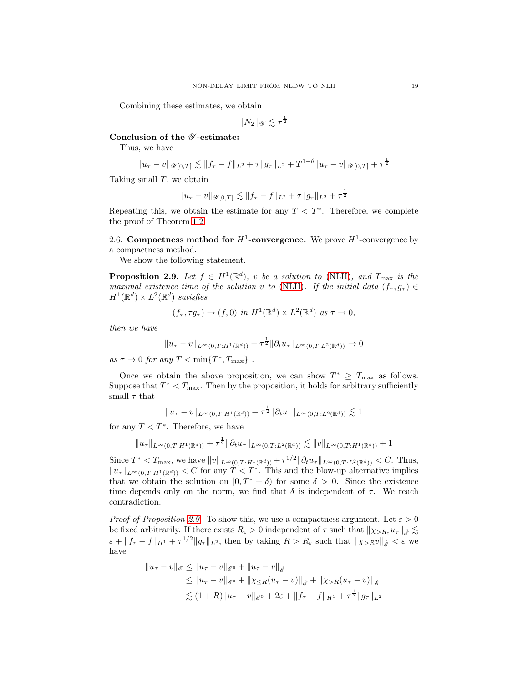Combining these estimates, we obtain

$$
||N_2||_{\mathscr{Y}} \lesssim \tau^{\frac{1}{2}}
$$

## Conclusion of the  $\mathscr Y\text{-estimate:}$

Thus, we have

$$
||u_{\tau} - v||_{\mathscr{Y}[0,T]} \lesssim ||f_{\tau} - f||_{L^2} + \tau ||g_{\tau}||_{L^2} + T^{1-\theta} ||u_{\tau} - v||_{\mathscr{Y}[0,T]} + \tau^{\frac{1}{2}}
$$

Taking small  $T$ , we obtain

$$
||u_{\tau} - v||_{\mathscr{Y}[0,T]} \lesssim ||f_{\tau} - f||_{L^2} + \tau ||g_{\tau}||_{L^2} + \tau^{\frac{1}{2}}
$$

Repeating this, we obtain the estimate for any  $T < T^*$ . Therefore, we complete the proof of Theorem [1.2.](#page-3-3)

<span id="page-18-0"></span>2.6. Compactness method for  $H^1$ -convergence. We prove  $H^1$ -convergence by a compactness method.

We show the following statement.

<span id="page-18-1"></span>**Proposition 2.9.** Let  $f \in H^1(\mathbb{R}^d)$ , v be a solution to [\(NLH\)](#page-3-1), and  $T_{\text{max}}$  is the maximal existence time of the solution v to [\(NLH\)](#page-3-1). If the initial data  $(f_\tau, g_\tau) \in$  $H^1(\mathbb{R}^d) \times L^2(\mathbb{R}^d)$  satisfies

$$
(f_{\tau}, \tau g_{\tau}) \to (f, 0) \text{ in } H^1(\mathbb{R}^d) \times L^2(\mathbb{R}^d) \text{ as } \tau \to 0,
$$

then we have

$$
||u_{\tau} - v||_{L^{\infty}(0,T:H^1(\mathbb{R}^d))} + \tau^{\frac{1}{2}} ||\partial_t u_{\tau}||_{L^{\infty}(0,T:L^2(\mathbb{R}^d))} \to 0
$$

as  $\tau \to 0$  for any  $T < \min\{T^*, T_{\max}\}\$ .

Once we obtain the above proposition, we can show  $T^* \geq T_{\text{max}}$  as follows. Suppose that  $T^* < T_{\text{max}}$ . Then by the proposition, it holds for arbitrary sufficiently small  $\tau$  that

$$
||u_{\tau} - v||_{L^{\infty}(0,T:H^1(\mathbb{R}^d))} + \tau^{\frac{1}{2}} ||\partial_t u_{\tau}||_{L^{\infty}(0,T:L^2(\mathbb{R}^d))} \lesssim 1
$$

for any  $T < T^*$ . Therefore, we have

$$
||u_{\tau}||_{L^{\infty}(0,T:H^{1}(\mathbb{R}^{d}))} + \tau^{\frac{1}{2}}||\partial_{t}u_{\tau}||_{L^{\infty}(0,T:L^{2}(\mathbb{R}^{d}))} \lesssim ||v||_{L^{\infty}(0,T:H^{1}(\mathbb{R}^{d}))} + 1
$$

Since  $T^* < T_{\text{max}}$ , we have  $||v||_{L^{\infty}(0,T:H^1(\mathbb{R}^d))} + \tau^{1/2} ||\partial_t u_{\tau}||_{L^{\infty}(0,T:L^2(\mathbb{R}^d))} < C$ . Thus,  $||u_\tau||_{L^\infty(0,T:H^1(\mathbb{R}^d))} < C$  for any  $T < T^*$ . This and the blow-up alternative implies that we obtain the solution on  $[0, T^* + \delta)$  for some  $\delta > 0$ . Since the existence time depends only on the norm, we find that  $\delta$  is independent of  $\tau$ . We reach contradiction.

*Proof of Proposition [2.9.](#page-18-1)* To show this, we use a compactness argument. Let  $\varepsilon > 0$ be fixed arbitrarily. If there exists  $R_{\varepsilon} > 0$  independent of  $\tau$  such that  $\|\chi_{>R_{\varepsilon}} u_{\tau}\|_{\dot{\mathscr{E}}} \lesssim$  $\epsilon + \|f_{\tau} - f\|_{H^1} + \tau^{1/2} \|g_{\tau}\|_{L^2}$ , then by taking  $R > R_{\varepsilon}$  such that  $\|\chi_{>R}v\|_{\dot{\mathscr{E}}} < \varepsilon$  we have

$$
||u_{\tau} - v||_{\mathscr{E}} \le ||u_{\tau} - v||_{\mathscr{E}^{0}} + ||u_{\tau} - v||_{\mathscr{E}}
$$
  
\n
$$
\le ||u_{\tau} - v||_{\mathscr{E}^{0}} + ||\chi_{\leq R}(u_{\tau} - v)||_{\mathscr{E}} + ||\chi_{>R}(u_{\tau} - v)||_{\mathscr{E}}
$$
  
\n
$$
\lesssim (1+R)||u_{\tau} - v||_{\mathscr{E}^{0}} + 2\varepsilon + ||f_{\tau} - f||_{H^{1}} + \tau^{\frac{1}{2}}||g_{\tau}||_{L^{2}}
$$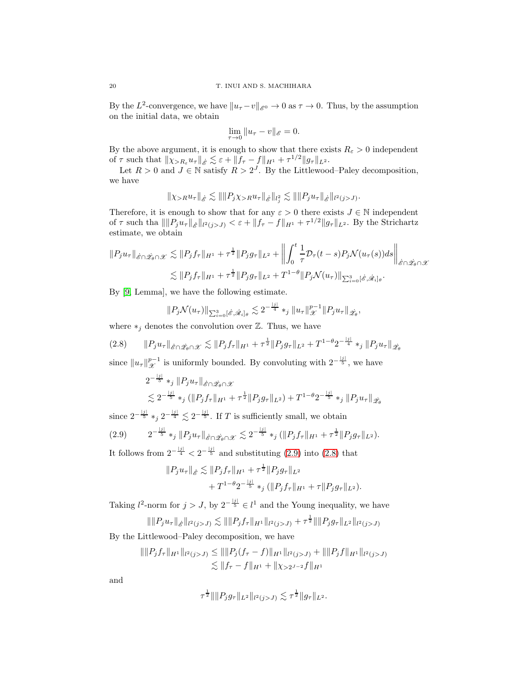By the  $L^2$ -convergence, we have  $||u_\tau - v||_{\mathscr{E}^0} \to 0$  as  $\tau \to 0$ . Thus, by the assumption on the initial data, we obtain

$$
\lim_{\tau \to 0} \|u_{\tau} - v\|_{\mathscr{E}} = 0.
$$

By the above argument, it is enough to show that there exists  $R_{\varepsilon} > 0$  independent of  $\tau$  such that  $\|\chi_{>R_{\varepsilon}} u_{\tau}\|_{\dot{\mathcal{E}}} \lesssim \varepsilon + \|f_{\tau} - f\|_{H^1} + \tau^{1/2} \|g_{\tau}\|_{L^2}$ .

Let  $R > 0$  and  $J \in \mathbb{N}$  satisfy  $R > 2^J$ . By the Littlewood–Paley decomposition, we have

$$
\|\chi_{>R} u_\tau\|_{\dot{\mathscr{E}}} \lesssim \|\|P_j\chi_{>R} u_\tau\|_{\dot{\mathscr{E}}}\|_{l_j^2} \lesssim \|\|P_j u_\tau\|_{\dot{\mathscr{E}}}\|_{l^2(j>J)}.
$$

Therefore, it is enough to show that for any  $\varepsilon > 0$  there exists  $J \in \mathbb{N}$  independent of  $\tau$  such tha  $\|\|P_j u_\tau\|_{\mathscr{E}}\|_{l^2(j>J)} < \varepsilon + \|f_\tau - f\|_{H^1} + \tau^{1/2} \|g_\tau\|_{L^2}$ . By the Strichartz estimate, we obtain

$$
||P_j u_\tau||_{\hat{\mathscr{E}} \cap \hat{\mathscr{L}}_{\theta} \cap \mathscr{X}} \lesssim ||P_j f_\tau||_{H^1} + \tau^{\frac{1}{2}} ||P_j g_\tau||_{L^2} + \left\| \int_0^t \frac{1}{\tau} \mathcal{D}_\tau(t-s) P_j \mathcal{N}(u_\tau(s)) ds \right\|_{\hat{\mathscr{E}} \cap \hat{\mathscr{L}}_{\theta} \cap \mathscr{X}}
$$
  

$$
\lesssim ||P_j f_\tau||_{H^1} + \tau^{\frac{1}{2}} ||P_j g_\tau||_{L^2} + T^{1-\theta} ||P_j \mathcal{N}(u_\tau)||_{\sum_{i=0}^3 [\hat{\mathscr{E}}, \hat{\mathscr{R}}_i]_{\theta}}.
$$

By [\[9,](#page-29-2) Lemma], we have the following estimate.

$$
||P_j \mathcal{N}(u_\tau)||_{\sum_{i=0}^3 [\dot{\mathcal{E}}, \dot{\mathcal{R}}_i]_\theta} \lesssim 2^{-\frac{|j|}{4}} *_{j} ||u_\tau||_{\mathcal{X}}^{p-1} ||P_j u_\tau||_{\dot{\mathcal{Z}}_\theta},
$$

where  $*_i$  denotes the convolution over  $\mathbb{Z}$ . Thus, we have

<span id="page-19-1"></span>
$$
(2.8) \qquad \|P_j u_\tau\|_{\dot{\mathcal{E}} \cap \dot{\mathcal{Z}}_{\theta} \cap \mathcal{X}} \lesssim \|P_j f_\tau\|_{H^1} + \tau^{\frac{1}{2}} \|P_j g_\tau\|_{L^2} + T^{1-\theta} 2^{-\frac{|j|}{4}} *_{j} \|P_j u_\tau\|_{\dot{\mathcal{Z}}_{\theta}}
$$

since  $||u_{\tau}||_{\mathcal{X}}^{p-1}$  is uniformly bounded. By convoluting with  $2^{-\frac{|j|}{5}}$ , we have

$$
2^{-\frac{|j|}{5}} *_{j} \|P_{j}u_{\tau}\|_{\mathring{\mathscr{E}} \cap \mathscr{Z}_{\theta} \cap \mathscr{X}}
$$
  
\$\lesssim 2^{-\frac{|j|}{5}} \*\_{j} (\|P\_{j}f\_{\tau}\|\_{H^{1}} + \tau^{\frac{1}{2}} \|P\_{j}g\_{\tau}\|\_{L^{2}}) + T^{1-\theta}2^{-\frac{|j|}{5}} \*\_{j} \|P\_{j}u\_{\tau}\|\_{\mathscr{Z}\_{\theta} \cap \mathscr{Z}\_{\theta} \cap \mathscr{Z}\_{\theta} \cap \mathscr{Z}\_{\theta} \cap \mathscr{Z}\_{\theta} \cap \mathscr{Z}\_{\theta} \cap \mathscr{Z}\_{\theta} \cap \mathscr{Z}\_{\theta} \cap \mathscr{Z}\_{\theta} \cap \mathscr{Z}\_{\theta} \cap \mathscr{Z}\_{\theta} \cap \mathscr{Z}\_{\theta} \cap \mathscr{Z}\_{\theta} \cap \mathscr{Z}\_{\theta} \cap \mathscr{Z}\_{\theta} \cap \mathscr{Z}\_{\theta} \cap \mathscr{Z}\_{\theta} \cap \mathscr{Z}\_{\theta} \cap \mathscr{Z}\_{\theta} \cap \mathscr{Z}\_{\theta} \cap \mathscr{Z}\_{\theta} \cap \mathscr{Z}\_{\theta} \cap \mathscr{Z}\_{\theta} \cap \mathscr{Z}\_{\theta} \cap \mathscr{Z}\_{\theta} \cap \mathscr{Z}\_{\theta} \cap \mathscr{Z}\_{\theta} \cap \mathscr{Z}\_{\theta} \cap \mathscr{Z}\_{\theta} \cap \mathscr{Z}\_{\theta} \cap \mathscr{Z}\_{\theta} \cap \mathscr{Z}\_{\theta} \cap \mathscr{Z}\_{\theta} \cap \mathscr{Z}\_{\theta} \cap \mathscr{Z}\_{\theta} \cap \mathscr{Z}\_{\theta} \cap \mathscr{Z}\_{\theta} \cap \mathscr{Z}\_{\theta} \cap \mathscr{Z}\_{\theta} \cap \mathscr{Z}\_{\theta} \cap \mathscr{Z}\_{\theta} \cap \mathscr{Z}\_{\theta} \cap \mathscr{Z}\_{\theta} \cap \mathscr{Z}\_{\theta} \cap \mathscr{Z}\_{\theta} \cap \mathscr{Z}\_{\theta} \cap \mathscr{Z}\_{\theta} \cap \mathscr{Z}\_{\theta} \cap \mathscr{Z}\_{\theta} \cap \mathscr{Z}\_{\theta} \cap \mathscr{Z}\_{\theta} \cap \mathscr{Z}\_{\theta} \cap \mathscr{Z}\_{\theta} \cap \mathscr{Z}\_{\theta} \cap \mathscr{Z}\_{\theta} \

since  $2^{-\frac{|j|}{5}} *_{j} 2^{-\frac{|j|}{4}} \lesssim 2^{-\frac{|j|}{5}}$ . If T is sufficiently small, we obtain

<span id="page-19-0"></span>
$$
(2.9) \t2^{-\frac{|j|}{5}} *_{j} \|P_{j}u_{\tau}\|_{\hat{\mathscr{E}} \cap \hat{\mathscr{L}}_{\theta} \cap \mathscr{X}} \lesssim 2^{-\frac{|j|}{5}} *_{j} (\|P_{j}f_{\tau}\|_{H^{1}} + \tau^{\frac{1}{2}} \|P_{j}g_{\tau}\|_{L^{2}}).
$$

It follows from  $2^{-\frac{|j|}{4}} < 2^{-\frac{|j|}{5}}$  and substituting [\(2.9\)](#page-19-0) into [\(2.8\)](#page-19-1) that

$$
||P_j u_\tau||_{\dot{\mathcal{E}}} \lesssim ||P_j f_\tau||_{H^1} + \tau^{\frac{1}{2}} ||P_j g_\tau||_{L^2}
$$
  
+  $T^{1-\theta} 2^{-\frac{|j|}{5}} *_j (||P_j f_\tau||_{H^1} + \tau ||P_j g_\tau||_{L^2}).$ 

Taking  $l^2$ -norm for  $j > J$ , by  $2^{-\frac{|j|}{5}} \in l^1$  and the Young inequality, we have

$$
\|\|P_j u_\tau\|_{\mathring{\mathscr{E}}}\|_{l^2(j>J)} \lesssim \|\|P_j f_\tau\|_{H^1}\|_{l^2(j>J)} + \tau^{\frac{1}{2}} \|\|P_j g_\tau\|_{L^2}\|_{l^2(j>J)}
$$

By the Littlewood–Paley decomposition, we have

$$
\| \| P_j f_\tau \|_{H^1} \|_{l^2(j>J)} \le \| \| P_j (f_\tau - f) \|_{H^1} \|_{l^2(j>J)} + \| \| P_j f \|_{H^1} \|_{l^2(j>J)}
$$
  

$$
\lesssim \| f_\tau - f \|_{H^1} + \| \chi_{>2^{J-2}} f \|_{H^1}
$$

and

$$
\tau^{\frac{1}{2}}\|\|P_jg_\tau\|_{L^2}\|_{l^2(j>J)}\lesssim \tau^{\frac{1}{2}}\|g_\tau\|_{L^2}.
$$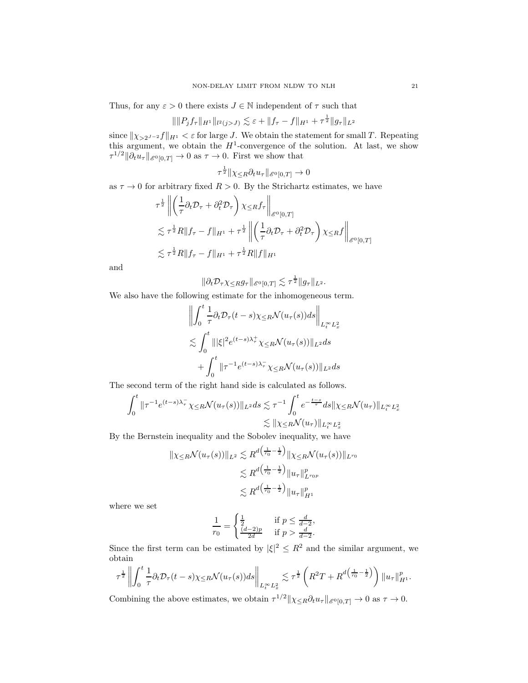Thus, for any  $\varepsilon > 0$  there exists  $J \in \mathbb{N}$  independent of  $\tau$  such that

$$
\|\|P_jf_\tau\|_{H^1}\|_{l^2(j>J)} \lesssim \varepsilon + \|f_\tau - f\|_{H^1} + \tau^{\frac{1}{2}}\|g_\tau\|_{L^2}
$$

since  $\|\chi_{>2^{J-2}} f\|_{H^1} < \varepsilon$  for large J. We obtain the statement for small T. Repeating this argument, we obtain the  $H^1$ -convergence of the solution. At last, we show  $\tau^{1/2}$   $\|\partial_t u_\tau\|_{\mathscr{E}^0[0,T]} \to 0$  as  $\tau \to 0$ . First we show that

$$
\tau^{\frac{1}{2}} \|\chi_{\leq R} \partial_t u_\tau\|_{\mathscr{E}^0[0,T]} \to 0
$$

as  $\tau \to 0$  for arbitrary fixed  $R > 0$ . By the Strichartz estimates, we have

$$
\tau^{\frac{1}{2}} \left\| \left( \frac{1}{\tau} \partial_t \mathcal{D}_\tau + \partial_t^2 \mathcal{D}_\tau \right) \chi \leq R f_\tau \right\|_{\mathscr{E}^0[0,T]}
$$
  

$$
\lesssim \tau^{\frac{1}{2}} R \| f_\tau - f \|_{H^1} + \tau^{\frac{1}{2}} \left\| \left( \frac{1}{\tau} \partial_t \mathcal{D}_\tau + \partial_t^2 \mathcal{D}_\tau \right) \chi \leq R f \right\|_{\mathscr{E}^0[0,T]}
$$
  

$$
\lesssim \tau^{\frac{1}{2}} R \| f_\tau - f \|_{H^1} + \tau^{\frac{1}{2}} R \| f \|_{H^1}
$$

and

$$
\|\partial_t \mathcal{D}_\tau \chi_{\leq R} g_\tau\|_{\mathscr{E}^0[0,T]} \lesssim \tau^{\frac{1}{2}} \|g_\tau\|_{L^2}.
$$

We also have the following estimate for the inhomogeneous term.

$$
\left\| \int_0^t \frac{1}{\tau} \partial_t \mathcal{D}_\tau (t-s) \chi_{\leq R} \mathcal{N}(u_\tau(s)) ds \right\|_{L_t^\infty L_x^2}
$$
  

$$
\lesssim \int_0^t \| |\xi|^2 e^{(t-s)\lambda_\tau^+} \chi_{\leq R} \mathcal{N}(u_\tau(s)) \|_{L^2} ds
$$
  

$$
+ \int_0^t \| \tau^{-1} e^{(t-s)\lambda_\tau^-} \chi_{\leq R} \mathcal{N}(u_\tau(s)) \|_{L^2} ds
$$

The second term of the right hand side is calculated as follows.

$$
\int_0^t \|\tau^{-1}e^{(t-s)\lambda_\tau^-}\chi_{\leq R} \mathcal{N}(u_\tau(s))\|_{L^2} ds \lesssim \tau^{-1} \int_0^t e^{-\frac{t-s}{\tau}} ds \|\chi_{\leq R} \mathcal{N}(u_\tau)\|_{L^\infty_t L^2_x}
$$
  

$$
\lesssim \|\chi_{\leq R} \mathcal{N}(u_\tau)\|_{L^\infty_t L^2_x}
$$

By the Bernstein inequality and the Sobolev inequality, we have

$$
\|\chi_{\leq R} \mathcal{N}(u_{\tau}(s))\|_{L^{2}} \lesssim R^{d\left(\frac{1}{r_{0}} - \frac{1}{2}\right)} \|\chi_{\leq R} \mathcal{N}(u_{\tau}(s))\|_{L^{r_{0}}}
$$

$$
\lesssim R^{d\left(\frac{1}{r_{0}} - \frac{1}{2}\right)} \|u_{\tau}\|_{L^{r_{0}p}}^{p}
$$

$$
\lesssim R^{d\left(\frac{1}{r_{0}} - \frac{1}{2}\right)} \|u_{\tau}\|_{H^{1}}^{p}
$$

where we set

$$
\frac{1}{r_0} = \begin{cases} \frac{1}{2} & \text{if } p \leq \frac{d}{d-2},\\ \frac{(d-2)p}{2d} & \text{if } p > \frac{d}{d-2}. \end{cases}
$$

Since the first term can be estimated by  $|\xi|^2 \leq R^2$  and the similar argument, we obtain

$$
\tau^{\frac{1}{2}}\left\|\int_0^t \frac{1}{\tau} \partial_t \mathcal{D}_\tau(t-s) \chi_{\leq R} \mathcal{N}(u_\tau(s)) ds \right\|_{L_t^\infty L_x^2} \lesssim \tau^{\frac{1}{2}} \left( R^2 T + R^{d\left(\frac{1}{r_0} - \frac{1}{2}\right)} \right) \|u_\tau\|_{H^1}^p.
$$

Combining the above estimates, we obtain  $\tau^{1/2} \| \chi_{\leq R} \partial_t u_\tau \|_{\mathscr{E}^0[0,T]} \to 0$  as  $\tau \to 0$ .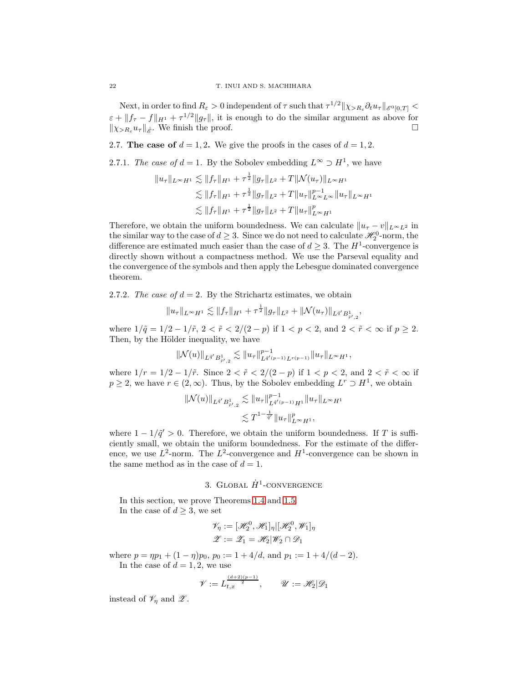Next, in order to find  $R_{\varepsilon} > 0$  independent of  $\tau$  such that  $\tau^{1/2} \| \chi_{>R_{\varepsilon}} \partial_t u_{\tau} \|_{\mathscr{E}^0[0,T]} <$  $\varepsilon + \|f_{\tau} - f\|_{H^1} + \tau^{1/2} \|g_{\tau}\|$ , it is enough to do the similar argument as above for  $\|\chi_{>R_{\varepsilon}}u_{\tau}\|_{\dot{\mathscr{E}}}$ . We finish the proof.

<span id="page-21-0"></span>2.7. The case of  $d = 1, 2$ . We give the proofs in the cases of  $d = 1, 2$ .

2.7.1. The case of  $d = 1$ . By the Sobolev embedding  $L^{\infty} \supset H^{1}$ , we have

$$
||u_{\tau}||_{L^{\infty}H^{1}} \lesssim ||f_{\tau}||_{H^{1}} + \tau^{\frac{1}{2}}||g_{\tau}||_{L^{2}} + T||\mathcal{N}(u_{\tau})||_{L^{\infty}H^{1}}\leq ||f_{\tau}||_{H^{1}} + \tau^{\frac{1}{2}}||g_{\tau}||_{L^{2}} + T||u_{\tau}||_{L^{\infty}L^{\infty}}^{p-1}||u_{\tau}||_{L^{\infty}H^{1}}\leq ||f_{\tau}||_{H^{1}} + \tau^{\frac{1}{2}}||g_{\tau}||_{L^{2}} + T||u_{\tau}||_{L^{\infty}H^{1}}^{p}
$$

Therefore, we obtain the uniform boundedness. We can calculate  $||u_{\tau} - v||_{L^{\infty}L^2}$  in the similar way to the case of  $d \geq 3$ . Since we do not need to calculate  $\mathscr{H}_{2}^{0}$ -norm, the difference are estimated much easier than the case of  $d \geq 3$ . The  $H^1$ -convergence is directly shown without a compactness method. We use the Parseval equality and the convergence of the symbols and then apply the Lebesgue dominated convergence theorem.

2.7.2. The case of  $d = 2$ . By the Strichartz estimates, we obtain

$$
||u_{\tau}||_{L^{\infty}H^{1}} \lesssim ||f_{\tau}||_{H^{1}} + \tau^{\frac{1}{2}}||g_{\tau}||_{L^{2}} + ||\mathcal{N}(u_{\tau})||_{L^{\tilde{q}'}B^{1}_{\tilde{r}',2}}
$$

,

where  $1/\tilde{q} = 1/2 - 1/\tilde{r}$ ,  $2 < \tilde{r} < 2/(2 - p)$  if  $1 < p < 2$ , and  $2 < \tilde{r} < \infty$  if  $p \geq 2$ . Then, by the Hölder inequality, we have

$$
\|\mathcal{N}(u)\|_{L^{\tilde{q}'}B^1_{\tilde{r}',2}}\lesssim \|u_\tau\|_{L^{\tilde{q}'(p-1)}L^{r(p-1)}}^{p-1}\|u_\tau\|_{L^\infty H^1},
$$

where  $1/r = 1/2 - 1/\tilde{r}$ . Since  $2 < \tilde{r} < 2/(2 - p)$  if  $1 < p < 2$ , and  $2 < \tilde{r} < \infty$  if  $p \geq 2$ , we have  $r \in (2,\infty)$ . Thus, by the Sobolev embedding  $L^r \supset H^1$ , we obtain

$$
\|\mathcal{N}(u)\|_{L^{\bar{q}'}B^1_{\bar{r}',2}} \lesssim \|u_\tau\|_{L^{\bar{q}'}(p-1)H^1}^{p-1} \|u_\tau\|_{L^\infty H^1}
$$
  

$$
\lesssim T^{1-\frac{1}{\bar{q}'}} \|u_\tau\|_{L^\infty H^1}^p,
$$

where  $1 - 1/\tilde{q}' > 0$ . Therefore, we obtain the uniform boundedness. If T is sufficiently small, we obtain the uniform boundedness. For the estimate of the difference, we use  $L^2$ -norm. The  $L^2$ -convergence and  $H^1$ -convergence can be shown in the same method as in the case of  $d = 1$ .

# 3. GLOBAL  $\dot{H}^1$ -CONVERGENCE

<span id="page-21-1"></span>In this section, we prove Theorems [1.4](#page-4-1) and [1.5.](#page-4-2) In the case of  $d \geq 3$ , we set

$$
\mathcal{V}_{\eta} := [\mathcal{H}_2^0, \mathcal{H}_1]_{\eta} | [\mathcal{H}_2^0, \mathcal{W}_1]_{\eta}
$$
  

$$
\mathcal{Z} := \mathcal{Z}_1 = \mathcal{H}_2 | \mathcal{W}_2 \cap \mathcal{D}_1
$$

where  $p = \eta p_1 + (1 - \eta)p_0$ ,  $p_0 := 1 + 4/d$ , and  $p_1 := 1 + 4/(d - 2)$ . In the case of  $d = 1, 2$ , we use

$$
\mathscr{V} := L_{t,x}^{\frac{(d+2)(p-1)}{2}}, \qquad \mathscr{U} := \mathscr{H}_2 | \mathscr{D}_1
$$

instead of  $\mathscr{V}_n$  and  $\mathscr{Z}$ .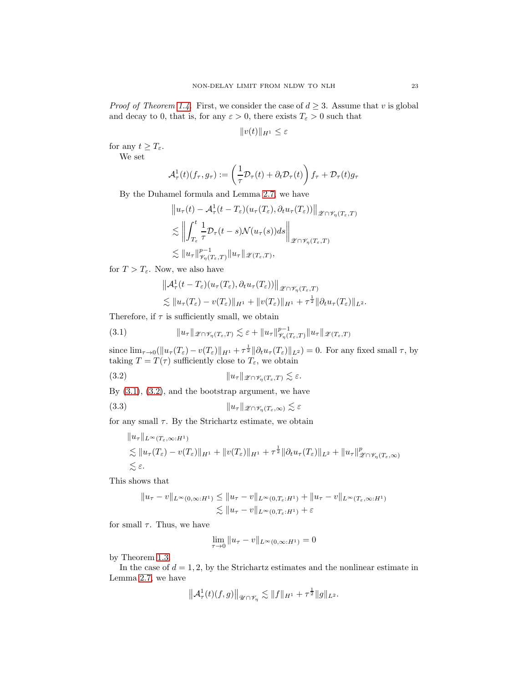*Proof of Theorem [1.4.](#page-4-1)* First, we consider the case of  $d \geq 3$ . Assume that v is global and decay to 0, that is, for any  $\varepsilon > 0$ , there exists  $T_{\varepsilon} > 0$  such that

$$
||v(t)||_{H^1} \leq \varepsilon
$$

for any  $t \geq T_{\varepsilon}$ . We set

$$
\mathcal{A}_{\tau}^{1}(t)(f_{\tau}, g_{\tau}) := \left(\frac{1}{\tau}\mathcal{D}_{\tau}(t) + \partial_{t}\mathcal{D}_{\tau}(t)\right)f_{\tau} + \mathcal{D}_{\tau}(t)g_{\tau}
$$

By the Duhamel formula and Lemma [2.7,](#page-10-2) we have

$$
||u_{\tau}(t) - A_{\tau}^{1}(t - T_{\varepsilon})(u_{\tau}(T_{\varepsilon}), \partial_{t}u_{\tau}(T_{\varepsilon}))||_{\mathscr{Z}\cap\mathscr{V}_{\eta}(T_{\varepsilon},T)}
$$
  
\n
$$
\lesssim \left\| \int_{T_{\varepsilon}}^{t} \frac{1}{\tau} \mathcal{D}_{\tau}(t-s) \mathcal{N}(u_{\tau}(s)) ds \right\|_{\mathscr{Z}\cap\mathscr{V}_{\eta}(T_{\varepsilon},T)}
$$
  
\n
$$
\lesssim ||u_{\tau}||_{\mathscr{V}_{\eta}(T_{\varepsilon},T)}^{p-1} ||u_{\tau}||_{\mathscr{Z}(T_{\varepsilon},T)},
$$

for  $T > T_{\varepsilon}$ . Now, we also have

$$
\|\mathcal{A}_{\tau}^1(t-T_{\varepsilon})(u_{\tau}(T_{\varepsilon}),\partial_t u_{\tau}(T_{\varepsilon}))\|_{\mathscr{Z}\cap\mathscr{V}_{\eta}(T_{\varepsilon},T)}
$$
  

$$
\lesssim \|u_{\tau}(T_{\varepsilon})-v(T_{\varepsilon})\|_{H^1}+\|v(T_{\varepsilon})\|_{H^1}+\tau^{\frac{1}{2}}\|\partial_t u_{\tau}(T_{\varepsilon})\|_{L^2}.
$$

Therefore, if  $\tau$  is sufficiently small, we obtain

<span id="page-22-0"></span>(3.1) 
$$
\|u_{\tau}\|_{\mathscr{Z}\cap\mathscr{V}_{\eta}(T_{\varepsilon},T)} \lesssim \varepsilon + \|u_{\tau}\|_{\mathscr{V}_{\eta}(T_{\varepsilon},T)}^{p-1} \|u_{\tau}\|_{\mathscr{Z}(T_{\varepsilon},T)}
$$

since  $\lim_{\tau \to 0} (\|u_\tau(T_\varepsilon) - v(T_\varepsilon)\|_{H^1} + \tau^{\frac{1}{2}} \|\partial_t u_\tau(T_\varepsilon)\|_{L^2}) = 0$ . For any fixed small  $\tau$ , by taking  $T = T(\tau)$  sufficiently close to  $T_{\varepsilon}$ , we obtain

<span id="page-22-1"></span>(3.2) 
$$
||u_{\tau}||_{\mathscr{L}\cap\mathscr{V}_{\eta}(T_{\varepsilon},T)} \lesssim \varepsilon.
$$

By  $(3.1)$ ,  $(3.2)$ , and the bootstrap argument, we have

<span id="page-22-2"></span>(3.3) ku<sup>τ</sup> k<sup>Z</sup> <sup>∩</sup>Vη(Tε,∞) . ε

for any small  $\tau$ . By the Strichartz estimate, we obtain

$$
||u_{\tau}||_{L^{\infty}(T_{\varepsilon},\infty:H^{1})}
$$
  
\n
$$
\lesssim ||u_{\tau}(T_{\varepsilon}) - v(T_{\varepsilon})||_{H^{1}} + ||v(T_{\varepsilon})||_{H^{1}} + \tau^{\frac{1}{2}} ||\partial_{t}u_{\tau}(T_{\varepsilon})||_{L^{2}} + ||u_{\tau}||^{p}_{\mathscr{L}\cap\mathscr{V}_{\eta}(T_{\varepsilon},\infty)}
$$
  
\n
$$
\lesssim \varepsilon.
$$

This shows that

$$
||u_{\tau} - v||_{L^{\infty}(0,\infty:H^1)} \le ||u_{\tau} - v||_{L^{\infty}(0,T_{\varepsilon}:H^1)} + ||u_{\tau} - v||_{L^{\infty}(T_{\varepsilon},\infty:H^1)}
$$
  

$$
\lesssim ||u_{\tau} - v||_{L^{\infty}(0,T_{\varepsilon}:H^1)} + \varepsilon
$$

for small  $\tau$ . Thus, we have

$$
\lim_{\tau \to 0} \|u_{\tau} - v\|_{L^{\infty}(0,\infty;H^1)} = 0
$$

by Theorem [1.3.](#page-4-0)

In the case of  $d = 1, 2$ , by the Strichartz estimates and the nonlinear estimate in Lemma [2.7,](#page-10-2) we have

$$
\left\|{\mathcal{A}}_\tau^1(t)(f,g)\right\|_{{\mathscr{U}}\cap {\mathscr{V}}_\eta}\lesssim \|f\|_{H^1}+\tau^\frac{1}{2}\|g\|_{L^2}.
$$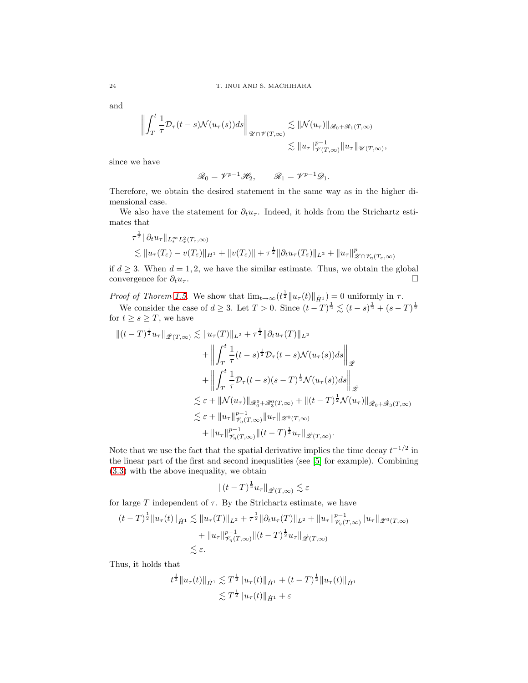and

$$
\left\| \int_{T}^{t} \frac{1}{\tau} \mathcal{D}_{\tau}(t-s) \mathcal{N}(u_{\tau}(s)) ds \right\|_{\mathcal{U} \cap \mathcal{V}(T,\infty)} \lesssim \| \mathcal{N}(u_{\tau}) \|_{\mathcal{R}_{0} + \mathcal{R}_{1}(T,\infty)}
$$
  

$$
\lesssim \| u_{\tau} \|_{\mathcal{V}(T,\infty)}^{p-1} \| u_{\tau} \|_{\mathcal{U}(T,\infty)}
$$

,

since we have

$$
\mathscr{R}_0 = \mathscr{V}^{p-1} \mathscr{H}_2, \qquad \mathscr{R}_1 = \mathscr{V}^{p-1} \mathscr{D}_1.
$$

Therefore, we obtain the desired statement in the same way as in the higher dimensional case.

We also have the statement for  $\partial_t u_\tau$ . Indeed, it holds from the Strichartz estimates that

$$
\tau^{\frac{1}{2}} \|\partial_t u_\tau\|_{L^\infty_t L^2_x(T_\varepsilon,\infty)}
$$
  
\$\lesssim \|u\_\tau(T\_\varepsilon) - v(T\_\varepsilon)\|\_{H^1} + \|v(T\_\varepsilon)\| + \tau^{\frac{1}{2}} \|\partial\_t u\_\tau(T\_\varepsilon)\|\_{L^2} + \|u\_\tau\|\_{\mathscr{Z} \cap \mathscr{V}\_\eta(T\_\varepsilon,\infty)}^p\$

if  $d \geq 3$ . When  $d = 1, 2$ , we have the similar estimate. Thus, we obtain the global convergence for  $\partial_t u_{\tau}$ . convergence for  $\partial_t u_\tau$ .

Proof of Thorem [1.5.](#page-4-2) We show that  $\lim_{t\to\infty} (t^{\frac{1}{2}} \|u_\tau(t)\|_{\dot{H}^1}) = 0$  uniformly in  $\tau$ .

We consider the case of  $d \geq 3$ . Let  $T > 0$ . Since  $(t - T)^{\frac{1}{2}} \lesssim (t - s)^{\frac{1}{2}} + (s - T)^{\frac{1}{2}}$ for  $t \geq s \geq T$ , we have

$$
\begin{split} \|(t-T)^{\frac{1}{2}}u_{\tau}\|_{\dot{\mathscr{L}}(T,\infty)} &\lesssim \|u_{\tau}(T)\|_{L^{2}}+\tau^{\frac{1}{2}}\|\partial_{t}u_{\tau}(T)\|_{L^{2}}\\ &+\left\|\int_{T}^{t}\frac{1}{\tau}(t-s)^{\frac{1}{2}}\mathcal{D}_{\tau}(t-s)\mathcal{N}(u_{\tau}(s))ds\right\|_{\dot{\mathscr{L}}}\\ &+\left\|\int_{T}^{t}\frac{1}{\tau}\mathcal{D}_{\tau}(t-s)(s-T)^{\frac{1}{2}}\mathcal{N}(u_{\tau}(s))ds\right\|_{\dot{\mathscr{L}}}\\ &\lesssim \varepsilon+\|\mathcal{N}(u_{\tau})\|_{\mathscr{R}_{0}^{0}+\mathscr{R}_{3}^{0}(T,\infty)}+\|(t-T)^{\frac{1}{2}}\mathcal{N}(u_{\tau})\|_{\dot{\mathscr{R}}_{0}+\dot{\mathscr{R}}_{3}(T,\infty)}\\ &\lesssim \varepsilon+\|u_{\tau}\|_{\mathscr{V}_{\eta}(T,\infty)}^{p-1}\|u_{\tau}\|_{\mathscr{L}^{0}(T,\infty)}\\ &+\|u_{\tau}\|_{\mathscr{V}_{\eta}(T,\infty)}^{p-1}\|(t-T)^{\frac{1}{2}}u_{\tau}\|_{\dot{\mathscr{L}}(T,\infty)}. \end{split}
$$

Note that we use the fact that the spatial derivative implies the time decay  $t^{-1/2}$  in the linear part of the first and second inequalities (see [\[5\]](#page-29-13) for example). Combining [\(3.3\)](#page-22-2) with the above inequality, we obtain

$$
||(t-T)^{\frac{1}{2}}u_{\tau}||_{\dot{\mathscr{L}}(T,\infty)} \lesssim \varepsilon
$$

for large  $T$  independent of  $\tau$ . By the Strichartz estimate, we have

$$
(t-T)^{\frac{1}{2}} \|u_{\tau}(t)\|_{\dot{H}^{1}} \lesssim \|u_{\tau}(T)\|_{L^{2}} + \tau^{\frac{1}{2}} \|\partial_{t} u_{\tau}(T)\|_{L^{2}} + \|u_{\tau}\|_{\mathcal{V}_{\eta}(T,\infty)}^{\rho-1} \|u_{\tau}\|_{\mathcal{Z}^{0}(T,\infty)} + \|u_{\tau}\|_{\mathcal{V}_{\eta}(T,\infty)}^{\rho-1} \|t-T\|_{\mathcal{Z}(T,\infty)}^{\frac{1}{2}} \|u_{\tau}\|_{\mathcal{Z}(T,\infty)} \|t-T\|_{\mathcal{Z}(T,\infty)}.
$$

Thus, it holds that

$$
t^{\frac{1}{2}} \|u_{\tau}(t)\|_{\dot{H}^{1}} \lesssim T^{\frac{1}{2}} \|u_{\tau}(t)\|_{\dot{H}^{1}} + (t - T)^{\frac{1}{2}} \|u_{\tau}(t)\|_{\dot{H}^{1}} \lesssim T^{\frac{1}{2}} \|u_{\tau}(t)\|_{\dot{H}^{1}} + \varepsilon
$$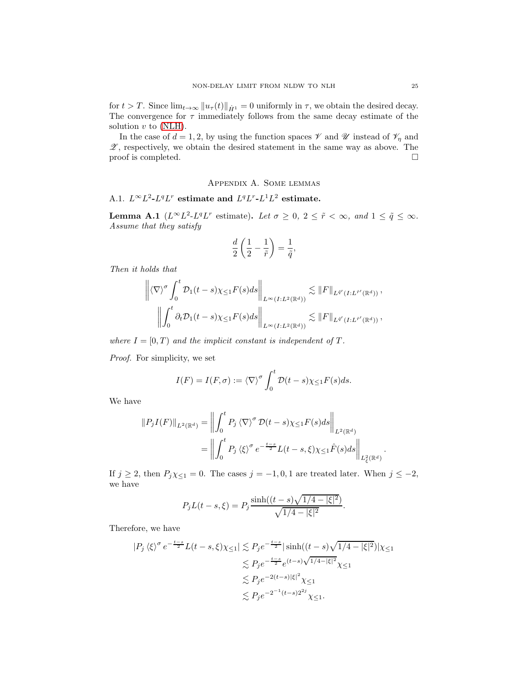for  $t > T$ . Since  $\lim_{t \to \infty} ||u_\tau(t)||_{\dot{H}^1} = 0$  uniformly in  $\tau$ , we obtain the desired decay. The convergence for  $\tau$  immediately follows from the same decay estimate of the solution  $v$  to [\(NLH\)](#page-3-1).

In the case of  $d = 1, 2$ , by using the function spaces  $\mathscr V$  and  $\mathscr U$  instead of  $\mathscr V_\eta$  and  $\mathscr{Z}$ , respectively, we obtain the desired statement in the same way as above. The proof is completed.  $\Box$ 

## Appendix A. Some lemmas

# <span id="page-24-1"></span><span id="page-24-0"></span>A.1.  $L^{\infty}L^2$ - $L^qL^r$  estimate and  $L^qL^r$ - $L^1L^2$  estimate.

**Lemma A.1**  $(L^{\infty}L^2 \text{-} L^q L^r \text{ estimate})$ . Let  $\sigma \geq 0, 2 \leq \tilde{r} < \infty$ , and  $1 \leq \tilde{q} \leq \infty$ . Assume that they satisfy

$$
\frac{d}{2}\left(\frac{1}{2}-\frac{1}{\tilde{r}}\right)=\frac{1}{\tilde{q}},
$$

Then it holds that

$$
\left\| \langle \nabla \rangle^{\sigma} \int_{0}^{t} \mathcal{D}_{1}(t-s) \chi_{\leq 1} F(s) ds \right\|_{L^{\infty}(I:L^{2}(\mathbb{R}^{d}))} \lesssim \|F\|_{L^{\vec{q}'}(I:L^{\vec{r}'}(\mathbb{R}^{d}))},
$$
  

$$
\left\| \int_{0}^{t} \partial_{t} \mathcal{D}_{1}(t-s) \chi_{\leq 1} F(s) ds \right\|_{L^{\infty}(I:L^{2}(\mathbb{R}^{d}))} \lesssim \|F\|_{L^{\vec{q}'}(I:L^{\vec{r}'}(\mathbb{R}^{d}))},
$$

where  $I = [0, T)$  and the implicit constant is independent of T.

Proof. For simplicity, we set

$$
I(F) = I(F, \sigma) := \langle \nabla \rangle^{\sigma} \int_0^t \mathcal{D}(t - s) \chi_{\leq 1} F(s) ds.
$$

We have

$$
||P_j I(F)||_{L^2(\mathbb{R}^d)} = \left\| \int_0^t P_j \langle \nabla \rangle^{\sigma} \mathcal{D}(t-s) \chi_{\leq 1} F(s) ds \right\|_{L^2(\mathbb{R}^d)}
$$
  
= 
$$
\left\| \int_0^t P_j \langle \xi \rangle^{\sigma} e^{-\frac{t-s}{2}} L(t-s, \xi) \chi_{\leq 1} \hat{F}(s) ds \right\|_{L^2_{\xi}(\mathbb{R}^d)}
$$

If  $j \ge 2$ , then  $P_j \chi \le 1} = 0$ . The cases  $j = -1, 0, 1$  are treated later. When  $j \le -2$ , we have

$$
P_j L(t-s,\xi) = P_j \frac{\sinh((t-s)\sqrt{1/4 - |\xi|^2})}{\sqrt{1/4 - |\xi|^2}}.
$$

Therefore, we have

$$
|P_j \langle \xi \rangle^{\sigma} e^{-\frac{t-s}{2}} L(t-s, \xi) \chi_{\leq 1} | \lesssim P_j e^{-\frac{t-s}{2}} |\sinh((t-s)\sqrt{1/4 - |\xi|^2})| \chi_{\leq 1}
$$
  

$$
\lesssim P_j e^{-\frac{t-s}{2}} e^{(t-s)\sqrt{1/4 - |\xi|^2}} \chi_{\leq 1}
$$
  

$$
\lesssim P_j e^{-2(t-s)|\xi|^2} \chi_{\leq 1}
$$
  

$$
\lesssim P_j e^{-2^{-1}(t-s)2^{2j}} \chi_{\leq 1}.
$$

.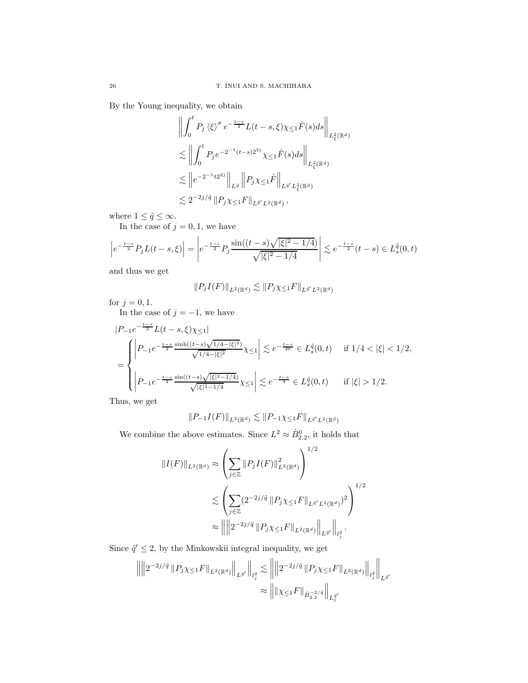By the Young inequality, we obtain

$$
\left\| \int_{0}^{t} P_{j} \langle \xi \rangle^{\sigma} e^{-\frac{t-s}{2}} L(t-s, \xi) \chi_{\leq 1} \hat{F}(s) ds \right\|_{L_{\xi}^{2}(\mathbb{R}^{d})}
$$
  

$$
\lesssim \left\| \int_{0}^{t} P_{j} e^{-2^{-1}(t-s)2^{2j}} \chi_{\leq 1} \hat{F}(s) ds \right\|_{L_{\xi}^{2}(\mathbb{R}^{d})}
$$
  

$$
\lesssim \left\| e^{-2^{-1}t2^{2j}} \right\|_{L^{\bar{q}}} \left\| P_{j} \chi_{\leq 1} \hat{F} \right\|_{L^{\bar{q}'} L_{\xi}^{2}(\mathbb{R}^{d})}
$$
  

$$
\lesssim 2^{-2j/\bar{q}} \left\| P_{j} \chi_{\leq 1} F \right\|_{L^{\bar{q}'} L^{2}(\mathbb{R}^{d})},
$$

where  $1 \leq \tilde{q} \leq \infty$ .

In the case of  $j = 0, 1$ , we have

$$
\left| e^{-\frac{t-s}{2}} P_j L(t-s,\xi) \right| = \left| e^{-\frac{t-s}{2}} P_j \frac{\sin((t-s)\sqrt{|\xi|^2 - 1/4})}{\sqrt{|\xi|^2 - 1/4}} \right| \lesssim e^{-\frac{t-s}{2}} (t-s) \in L_s^{\tilde{q}}(0,t)
$$

and thus we get

$$
||P_j I(F)||_{L^2(\mathbb{R}^d)} \lesssim ||P_j \chi_{\leq 1} F||_{L^{\bar{q}'} L^2(\mathbb{R}^d)}
$$

for  $j=0,1.$ 

In the case of  $j = -1$ , we have

$$
\begin{split} &|P_{-1}e^{-\frac{t-s}{2}}L(t-s,\xi)\chi_{\leq 1}|\nonumber\\ &=\left\{\begin{aligned} &\left|P_{-1}e^{-\frac{t-s}{2}}\frac{\sinh((t-s)\sqrt{1/4-|\xi|^2})}{\sqrt{1/4-|\xi|^2}}\chi_{\leq 1}\right|\lesssim e^{-\frac{t-s}{20}}\in L_g^{\tilde{q}}(0,t)\quad\text{ if }1/4<|\xi|<1/2,\\ &\left|P_{-1}e^{-\frac{t-s}{2}}\frac{\sin((t-s)\sqrt{|\xi|^2-1/4})}{\sqrt{|\xi|^2-1/4}}\chi_{\leq 1}\right|\lesssim e^{-\frac{t-s}{4}}\in L_g^{\tilde{q}}(0,t)\quad\text{ if }|\xi|>1/2.\end{aligned}\right.\end{split}
$$

Thus, we get

$$
||P_{-1}I(F)||_{L^2(\mathbb{R}^d)} \lesssim ||P_{-1}\chi_{\leq 1}F||_{L^{\tilde{q}'}L^2(\mathbb{R}^d)}
$$

We combine the above estimates. Since  $L^2 \approx \dot{B}_{2,2}^0$ , it holds that

$$
||I(F)||_{L^{2}(\mathbb{R}^{d})} \approx \left(\sum_{j\in\mathbb{Z}}||P_{j}I(F)||_{L^{2}(\mathbb{R}^{d})}^{2}\right)^{1/2}
$$
  

$$
\lesssim \left(\sum_{j\in\mathbb{Z}}(2^{-2j/\tilde{q}}||P_{j}\chi_{\leq 1}F||_{L^{\tilde{q}'}L^{2}(\mathbb{R}^{d})})^{2}\right)^{1/2}
$$
  

$$
\approx ||||2^{-2j/\tilde{q}}||P_{j}\chi_{\leq 1}F||_{L^{2}(\mathbb{R}^{d})}||_{L^{\tilde{q}'}}||_{L^{\tilde{q}'}}.
$$

Since  $\tilde{q}' \leq 2$ , by the Minkowskii integral inequality, we get

$$
\left\| \left\| 2^{-2j/\tilde{q}} \, \| P_j \chi_{\le 1} F \|_{L^2(\mathbb{R}^d)} \right\|_{L^{\tilde{q}'}} \right\|_{l^2_j} \lesssim \left\| \left\| 2^{-2j/\tilde{q}} \, \| P_j \chi_{\le 1} F \|_{L^2(\mathbb{R}^d)} \right\|_{l^2_j} \right\|_{L^{\tilde{q}'}}
$$

$$
\approx \left\| \| \chi_{\le 1} F \|_{\dot{B}^{-2/\tilde{q}}_{2,2}} \right\|_{L^{\tilde{q}'}}.
$$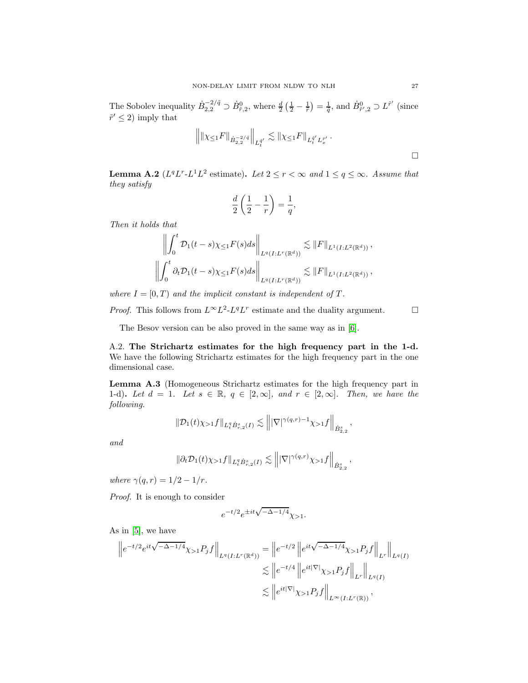The Sobolev inequality  $\dot{B}_{2,2}^{-2/\tilde{q}} \supset \dot{B}_{\tilde{r},2}^0$ , where  $\frac{d}{2} \left( \frac{1}{2} - \frac{1}{\tilde{r}} \right) = \frac{1}{\tilde{q}}$ , and  $\dot{B}_{\tilde{r}',2}^0 \supset L^{\tilde{r}'}$  (since  $\tilde{r}' \leq 2$  imply that

$$
\left\| \|\chi_{\leq 1} F\|_{\dot{B}^{-2/\tilde{q}}_{2,2}}\right\|_{L_t^{\tilde{q}^\prime}} \lesssim \|\chi_{\leq 1} F\|_{L_t^{\tilde{q}^\prime} L_x^{\tilde{r}^\prime}} \, .
$$

**Lemma A.2** ( $L^q L^r$ - $L^1 L^2$  estimate). Let  $2 \le r < \infty$  and  $1 \le q \le \infty$ . Assume that they satisfy

$$
\frac{d}{2}\left(\frac{1}{2}-\frac{1}{r}\right)=\frac{1}{q},
$$

Then it holds that

$$
\left\| \int_0^t \mathcal{D}_1(t-s) \chi_{\leq 1} F(s) ds \right\|_{L^q(I:L^r(\mathbb{R}^d))} \lesssim \|F\|_{L^1(I:L^2(\mathbb{R}^d))},
$$
  

$$
\left\| \int_0^t \partial_t \mathcal{D}_1(t-s) \chi_{\leq 1} F(s) ds \right\|_{L^q(I:L^r(\mathbb{R}^d))} \lesssim \|F\|_{L^1(I:L^2(\mathbb{R}^d))},
$$

where  $I = [0, T)$  and the implicit constant is independent of T.

*Proof.* This follows from  $L^{\infty}L^2$ - $L^qL^r$  estimate and the duality argument.  $\square$ 

The Besov version can be also proved in the same way as in [\[6\]](#page-29-14).

<span id="page-26-0"></span>A.2. The Strichartz estimates for the high frequency part in the 1-d. We have the following Strichartz estimates for the high frequency part in the one dimensional case.

Lemma A.3 (Homogeneous Strichartz estimates for the high frequency part in 1-d). Let  $d = 1$ . Let  $s \in \mathbb{R}$ ,  $q \in [2, \infty]$ , and  $r \in [2, \infty]$ . Then, we have the following.

$$
\|\mathcal{D}_1(t)\chi_{>1}f\|_{L_t^q \dot{B}_{r,2}^s(I)} \lesssim \left\||\nabla|^{\gamma(q,r)-1}\chi_{>1}f\right\|_{\dot{B}_{2,2}^s}
$$

,

and

$$
\|\partial_t\mathcal{D}_1(t)\chi_{>1}f\|_{L^q_t\dot{B}_{r,2}^s(I)}\lesssim \left\||\nabla|^{\gamma(q,r)}\chi_{>1}f\right\|_{\dot{B}_{2,2}^s},
$$

where  $\gamma(q, r) = 1/2 - 1/r$ .

Proof. It is enough to consider

$$
e^{-t/2}e^{\pm it\sqrt{-\Delta-1/4}}\chi_{>1}.
$$

As in [\[5\]](#page-29-13), we have

$$
\|e^{-t/2}e^{it\sqrt{-\Delta-1/4}}\chi_{>1}P_jf\|_{L^q(I:L^r(\mathbb{R}^d))} = \|e^{-t/2}\|e^{it\sqrt{-\Delta-1/4}}\chi_{>1}P_jf\|_{L^r}\|_{L^q(I)} \n\lesssim \|e^{-t/4}\|e^{it|\nabla|}\chi_{>1}P_jf\|_{L^r}\|_{L^q(I)} \n\lesssim \|e^{it|\nabla|}\chi_{>1}P_jf\|_{L^{\infty}(I:L^r(\mathbb{R}))},
$$

 $\Box$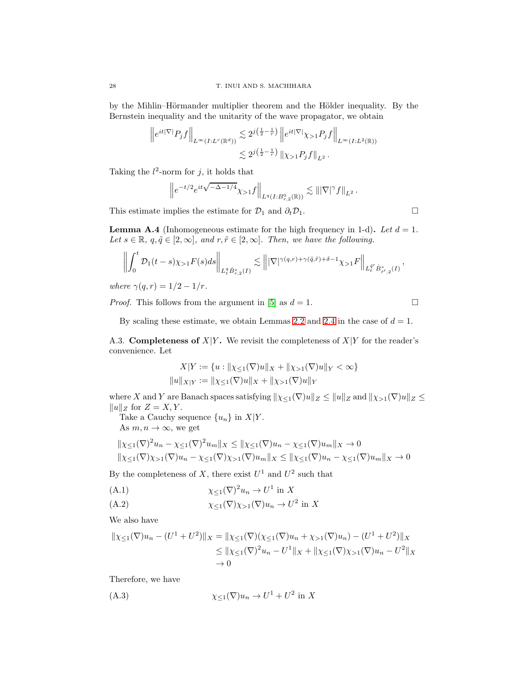by the Mihlin–Hörmander multiplier theorem and the Hölder inequality. By the Bernstein inequality and the unitarity of the wave propagator, we obtain

$$
\left\|e^{it|\nabla|}P_jf\right\|_{L^{\infty}(I:L^r(\mathbb{R}^d))} \lesssim 2^{j\left(\frac{1}{2}-\frac{1}{r}\right)}\left\|e^{it|\nabla|}\chi_{>1}P_jf\right\|_{L^{\infty}(I:L^2(\mathbb{R}))}
$$

$$
\lesssim 2^{j\left(\frac{1}{2}-\frac{1}{r}\right)}\left\|\chi_{>1}P_jf\right\|_{L^2}.
$$

Taking the  $l^2$ -norm for j, it holds that

$$
\left\|e^{-t/2}e^{it\sqrt{-\Delta-1/4}}\chi_{>1}f\right\|_{L^q(I:B_{r,2}^0(\mathbb{R}))} \lesssim \||\nabla|^{\gamma}f\|_{L^2}.
$$

This estimate implies the estimate for  $\mathcal{D}_1$  and  $\partial_t \mathcal{D}_1$ .

**Lemma A.4** (Inhomogeneous estimate for the high frequency in 1-d). Let  $d = 1$ . Let  $s \in \mathbb{R}$ ,  $q, \tilde{q} \in [2, \infty]$ , and  $r, \tilde{r} \in [2, \infty]$ . Then, we have the following.

$$
\left\| \int_0^t \mathcal{D}_1(t-s) \chi_{>1} F(s) ds \right\|_{L_t^q \dot{B}_{r,2}^s(I)} \lesssim \left\| |\nabla|^{\gamma(q,r)+\gamma(\tilde{q},\tilde{r})+\delta-1} \chi_{>1} F \right\|_{L_t^{\tilde{q}'} \dot{B}_{\tilde{r}',2}^s(I)},
$$

where  $\gamma(q, r) = 1/2 - 1/r$ .

*Proof.* This follows from the argument in [\[5\]](#page-29-13) as  $d = 1$ .

By scaling these estimate, we obtain Lemmas [2.2](#page-8-2) and [2.4](#page-9-1) in the case of  $d = 1$ .

<span id="page-27-0"></span>A.3. **Completeness of**  $X|Y$ . We revisit the completeness of  $X|Y$  for the reader's convenience. Let

$$
X|Y := \{u : ||\chi_{\leq 1}(\nabla)u||_X + ||\chi_{> 1}(\nabla)u||_Y < \infty\}
$$
  

$$
||u||_{X|Y} := ||\chi_{\leq 1}(\nabla)u||_X + ||\chi_{> 1}(\nabla)u||_Y
$$

where X and Y are Banach spaces satisfying  $\|\chi_{\leq 1}(\nabla)u\|_Z \leq \|u\|_Z$  and  $\|\chi_{> 1}(\nabla)u\|_Z \leq$  $||u||_Z$  for  $Z = X, Y$ .

Take a Cauchy sequence  $\{u_n\}$  in  $X|Y$ . As  $m, n \to \infty$ , we get

$$
\|\chi_{\leq 1}(\nabla)^2 u_n - \chi_{\leq 1}(\nabla)^2 u_m\|_X \leq \|\chi_{\leq 1}(\nabla) u_n - \chi_{\leq 1}(\nabla) u_m\|_X \to 0
$$
  

$$
\|\chi_{\leq 1}(\nabla)\chi_{> 1}(\nabla) u_n - \chi_{\leq 1}(\nabla)\chi_{> 1}(\nabla) u_m\|_X \leq \|\chi_{\leq 1}(\nabla) u_n - \chi_{\leq 1}(\nabla) u_m\|_X \to 0
$$

By the completeness of X, there exist  $U^1$  and  $U^2$  such that

<span id="page-27-1"></span>χ≤1(∇) <sup>2</sup>u<sup>n</sup> <sup>→</sup> <sup>U</sup> 1 (A.1) in X

<span id="page-27-3"></span>
$$
(A.2) \t\t\t \chi_{\leq 1}(\nabla)\chi_{>1}(\nabla)u_n \to U^2 \text{ in } X
$$

We also have

$$
\| \chi_{\leq 1}(\nabla)u_n - (U^1 + U^2) \|_X = \| \chi_{\leq 1}(\nabla) (\chi_{\leq 1}(\nabla)u_n + \chi_{> 1}(\nabla)u_n) - (U^1 + U^2) \|_X
$$
  
\n
$$
\leq \| \chi_{\leq 1}(\nabla)^2 u_n - U^1 \|_X + \| \chi_{\leq 1}(\nabla) \chi_{> 1}(\nabla) u_n - U^2 \|_X
$$
  
\n
$$
\to 0
$$

Therefore, we have

<span id="page-27-2"></span>χ≤<sup>1</sup>(∇)u<sup>n</sup> → U <sup>1</sup> + U 2 (A.3) in X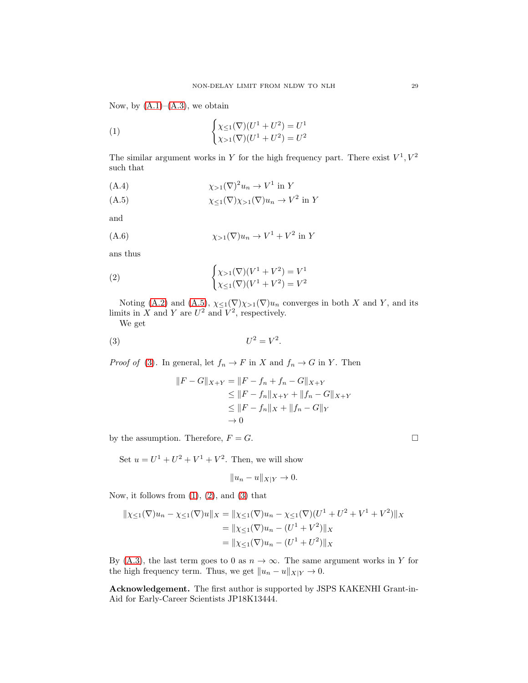Now, by  $(A.1)$ – $(A.3)$ , we obtain

<span id="page-28-2"></span>(1) 
$$
\begin{cases} \chi_{\leq 1}(\nabla)(U^1 + U^2) = U^1 \\ \chi_{> 1}(\nabla)(U^1 + U^2) = U^2 \end{cases}
$$

The similar argument works in Y for the high frequency part. There exist  $V^1, V^2$ such that

χ>1(∇) <sup>2</sup>u<sup>n</sup> <sup>→</sup> <sup>V</sup> 1 (A.4) in Y

<span id="page-28-0"></span>χ≤1(∇)χ>1(∇)u<sup>n</sup> → V 2 (A.5) in Y

and

χ>1(∇)u<sup>n</sup> → V <sup>1</sup> + V 2 (A.6) in Y

ans thus

<span id="page-28-3"></span>(2) 
$$
\begin{cases} \chi_{>1}(\nabla)(V^1 + V^2) = V^1 \\ \chi_{\leq 1}(\nabla)(V^1 + V^2) = V^2 \end{cases}
$$

Noting [\(A.2\)](#page-27-3) and [\(A.5\)](#page-28-0),  $\chi_{\leq 1}(\nabla)\chi_{>1}(\nabla)u_n$  converges in both X and Y, and its limits in X and Y are  $U^2$  and  $V^2$ , respectively.

We get

<span id="page-28-1"></span>
$$
(3) \tU^2 = V^2.
$$

*Proof of* [\(3\)](#page-28-1). In general, let  $f_n \to F$  in X and  $f_n \to G$  in Y. Then

$$
||F - G||_{X+Y} = ||F - f_n + f_n - G||_{X+Y}
$$
  
\n
$$
\leq ||F - f_n||_{X+Y} + ||f_n - G||_{X+Y}
$$
  
\n
$$
\leq ||F - f_n||_X + ||f_n - G||_Y
$$
  
\n
$$
\to 0
$$

by the assumption. Therefore,  $F = G$ .

Set  $u = U^1 + U^2 + V^1 + V^2$ . Then, we will show

$$
||u_n - u||_{X|Y} \to 0.
$$

Now, it follows from  $(1)$ ,  $(2)$ , and  $(3)$  that

$$
\| \chi_{\leq 1}(\nabla)u_n - \chi_{\leq 1}(\nabla)u \|_X = \| \chi_{\leq 1}(\nabla)u_n - \chi_{\leq 1}(\nabla)(U^1 + U^2 + V^1 + V^2) \|_X
$$
  
=  $\| \chi_{\leq 1}(\nabla)u_n - (U^1 + V^2) \|_X$   
=  $\| \chi_{\leq 1}(\nabla)u_n - (U^1 + U^2) \|_X$ 

By [\(A.3\)](#page-27-2), the last term goes to 0 as  $n \to \infty$ . The same argument works in Y for the high frequency term. Thus, we get  $||u_n - u||_{X|Y} \to 0$ .

Acknowledgement. The first author is supported by JSPS KAKENHI Grant-in-Aid for Early-Career Scientists JP18K13444.